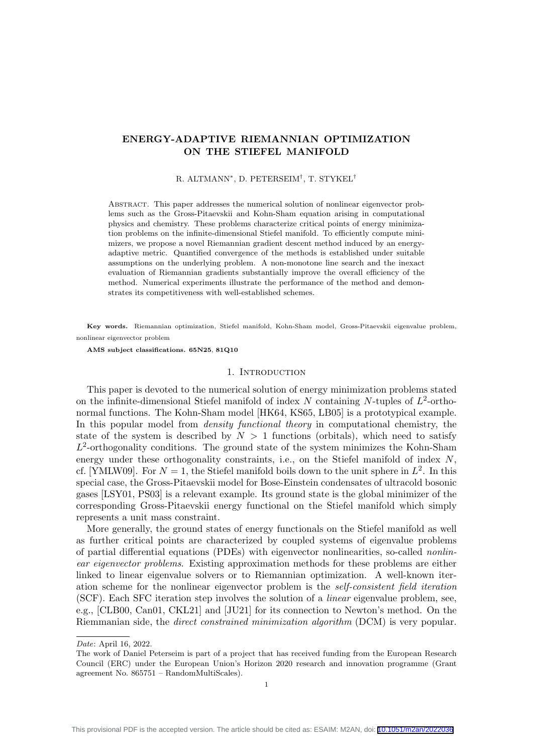# ENERGY-ADAPTIVE RIEMANNIAN OPTIMIZATION ON THE STIEFEL MANIFOLD

## R. ALTMANN<sup>∗</sup> , D. PETERSEIM† , T. STYKEL†

Abstract. This paper addresses the numerical solution of nonlinear eigenvector problems such as the Gross-Pitaevskii and Kohn-Sham equation arising in computational physics and chemistry. These problems characterize critical points of energy minimization problems on the infinite-dimensional Stiefel manifold. To efficiently compute minimizers, we propose a novel Riemannian gradient descent method induced by an energyadaptive metric. Quantified convergence of the methods is established under suitable assumptions on the underlying problem. A non-monotone line search and the inexact evaluation of Riemannian gradients substantially improve the overall efficiency of the method. Numerical experiments illustrate the performance of the method and demonstrates its competitiveness with well-established schemes.

Key words. Riemannian optimization, Stiefel manifold, Kohn-Sham model, Gross-Pitaevskii eigenvalue problem, nonlinear eigenvector problem

AMS subject classifications. 65N25, 81Q10

### 1. INTRODUCTION

This paper is devoted to the numerical solution of energy minimization problems stated on the infinite-dimensional Stiefel manifold of index N containing N-tuples of  $L^2$ -orthonormal functions. The Kohn-Sham model [\[HK64,](#page-22-0) [KS65,](#page-22-1) [LB05\]](#page-22-2) is a prototypical example. In this popular model from *density functional theory* in computational chemistry, the state of the system is described by  $N > 1$  functions (orbitals), which need to satisfy  $L^2$ -orthogonality conditions. The ground state of the system minimizes the Kohn-Sham energy under these orthogonality constraints, i.e., on the Stiefel manifold of index  $N$ . cf. [\[YMLW09\]](#page-22-3). For  $N = 1$ , the Stiefel manifold boils down to the unit sphere in  $L^2$ . In this special case, the Gross-Pitaevskii model for Bose-Einstein condensates of ultracold bosonic gases [\[LSY01,](#page-22-4) [PS03\]](#page-22-5) is a relevant example. Its ground state is the global minimizer of the corresponding Gross-Pitaevskii energy functional on the Stiefel manifold which simply represents a unit mass constraint.

More generally, the ground states of energy functionals on the Stiefel manifold as well as further critical points are characterized by coupled systems of eigenvalue problems of partial differential equations (PDEs) with eigenvector nonlinearities, so-called nonlinear eigenvector problems. Existing approximation methods for these problems are either linked to linear eigenvalue solvers or to Riemannian optimization. A well-known iteration scheme for the nonlinear eigenvector problem is the self-consistent field iteration (SCF). Each SFC iteration step involves the solution of a linear eigenvalue problem, see, e.g., [\[CLB00,](#page-22-6) [Can01,](#page-21-0) [CKL21\]](#page-22-7) and [\[JU21\]](#page-22-8) for its connection to Newton's method. On the Riemmanian side, the direct constrained minimization algorithm (DCM) is very popular.

Date: April 16, 2022.

The work of Daniel Peterseim is part of a project that has received funding from the European Research Council (ERC) under the European Union's Horizon 2020 research and innovation programme (Grant agreement No. 865751 – RandomMultiScales).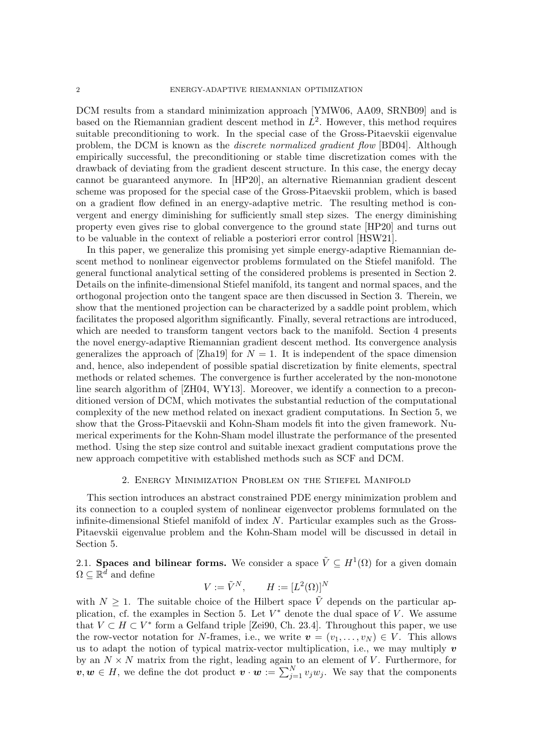DCM results from a standard minimization approach [\[YMW06,](#page-22-9) [AA09,](#page-21-1) [SRNB09\]](#page-22-10) and is based on the Riemannian gradient descent method in  $L^2$ . However, this method requires suitable preconditioning to work. In the special case of the Gross-Pitaevskii eigenvalue problem, the DCM is known as the discrete normalized gradient flow [\[BD04\]](#page-21-2). Although empirically successful, the preconditioning or stable time discretization comes with the drawback of deviating from the gradient descent structure. In this case, the energy decay cannot be guaranteed anymore. In [\[HP20\]](#page-22-11), an alternative Riemannian gradient descent scheme was proposed for the special case of the Gross-Pitaevskii problem, which is based on a gradient flow defined in an energy-adaptive metric. The resulting method is convergent and energy diminishing for sufficiently small step sizes. The energy diminishing property even gives rise to global convergence to the ground state [\[HP20\]](#page-22-11) and turns out to be valuable in the context of reliable a posteriori error control [\[HSW21\]](#page-22-12).

In this paper, we generalize this promising yet simple energy-adaptive Riemannian descent method to nonlinear eigenvector problems formulated on the Stiefel manifold. The general functional analytical setting of the considered problems is presented in Section [2.](#page-1-0) Details on the infinite-dimensional Stiefel manifold, its tangent and normal spaces, and the orthogonal projection onto the tangent space are then discussed in Section [3.](#page-4-0) Therein, we show that the mentioned projection can be characterized by a saddle point problem, which facilitates the proposed algorithm significantly. Finally, several retractions are introduced, which are needed to transform tangent vectors back to the manifold. Section [4](#page-12-0) presents the novel energy-adaptive Riemannian gradient descent method. Its convergence analysis generalizes the approach of [\[Zha19\]](#page-23-0) for  $N = 1$ . It is independent of the space dimension and, hence, also independent of possible spatial discretization by finite elements, spectral methods or related schemes. The convergence is further accelerated by the non-monotone line search algorithm of [\[ZH04,](#page-23-1) [WY13\]](#page-22-13). Moreover, we identify a connection to a preconditioned version of DCM, which motivates the substantial reduction of the computational complexity of the new method related on inexact gradient computations. In Section [5,](#page-16-0) we show that the Gross-Pitaevskii and Kohn-Sham models fit into the given framework. Numerical experiments for the Kohn-Sham model illustrate the performance of the presented method. Using the step size control and suitable inexact gradient computations prove the new approach competitive with established methods such as SCF and DCM.

## 2. Energy Minimization Problem on the Stiefel Manifold

<span id="page-1-0"></span>This section introduces an abstract constrained PDE energy minimization problem and its connection to a coupled system of nonlinear eigenvector problems formulated on the infinite-dimensional Stiefel manifold of index N. Particular examples such as the Gross-Pitaevskii eigenvalue problem and the Kohn-Sham model will be discussed in detail in Section [5.](#page-16-0)

2.1. Spaces and bilinear forms. We consider a space  $\tilde{V} \subseteq H^1(\Omega)$  for a given domain  $\Omega \subseteq \mathbb{R}^d$  and define

$$
V := \tilde{V}^N, \qquad H := [L^2(\Omega)]^N
$$

with  $N \geq 1$ . The suitable choice of the Hilbert space  $\tilde{V}$  depends on the particular ap-plication, cf. the examples in Section [5.](#page-16-0) Let  $V^*$  denote the dual space of V. We assume that  $V \subset H \subset V^*$  form a Gelfand triple [\[Zei90,](#page-22-14) Ch. 23.4]. Throughout this paper, we use the row-vector notation for N-frames, i.e., we write  $\mathbf{v} = (v_1, \ldots, v_N) \in V$ . This allows us to adapt the notion of typical matrix-vector multiplication, i.e., we may multiply  $v$ by an  $N \times N$  matrix from the right, leading again to an element of V. Furthermore, for  $v, w \in H$ , we define the dot product  $v \cdot w := \sum_{j=1}^{N} v_j w_j$ . We say that the components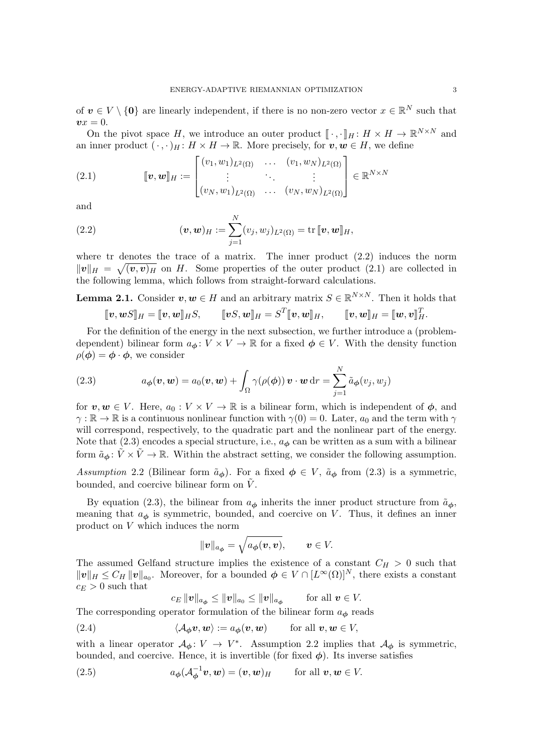of  $v \in V \setminus \{0\}$  are linearly independent, if there is no non-zero vector  $x \in \mathbb{R}^N$  such that  $vx = 0.$ 

On the pivot space H, we introduce an outer product  $[\cdot, \cdot]_H : H \times H \to \mathbb{R}^{N \times N}$  and<br>inner product  $(\cdot, \cdot)_{M} : H \times H \to \mathbb{R}$ . More procisely for a  $w \in H$ , we define an inner product  $(\cdot, \cdot)_H : H \times H \to \mathbb{R}$ . More precisely, for  $v, w \in H$ , we define

<span id="page-2-1"></span>(2.1) 
$$
\llbracket \boldsymbol{v}, \boldsymbol{w} \rrbracket_{H} := \begin{bmatrix} (v_1, w_1)_{L^2(\Omega)} & \dots & (v_1, w_N)_{L^2(\Omega)} \\ \vdots & \ddots & \vdots \\ (v_N, w_1)_{L^2(\Omega)} & \dots & (v_N, w_N)_{L^2(\Omega)} \end{bmatrix} \in \mathbb{R}^{N \times N}
$$

and

<span id="page-2-0"></span>(2.2) 
$$
(\boldsymbol{v}, \boldsymbol{w})_H := \sum_{j=1}^N (v_j, w_j)_{L^2(\Omega)} = \text{tr} \, [\![\boldsymbol{v}, \boldsymbol{w}]\!]_H,
$$

where tr denotes the trace of a matrix. The inner product [\(2.2\)](#page-2-0) induces the norm  $||v||_H = \sqrt{(v, v)_H}$  on H. Some properties of the outer product [\(2.1\)](#page-2-1) are collected in the following lemma, which follows from straight-forward calculations.

<span id="page-2-6"></span>**Lemma 2.1.** Consider  $v, w \in H$  and an arbitrary matrix  $S \in \mathbb{R}^{N \times N}$ . Then it holds that

$$
[\![\boldsymbol{v},\boldsymbol{w} S]\!]_H=[\![\boldsymbol{v},\boldsymbol{w}]\!]_H S, \qquad [\![\boldsymbol{v} S,\boldsymbol{w}]\!]_H=S^T[\![\boldsymbol{v},\boldsymbol{w}]\!]_H, \qquad [\![\boldsymbol{v},\boldsymbol{w}]\!]_H=[\![\boldsymbol{w},\boldsymbol{v}]\!]_H^T.
$$

For the definition of the energy in the next subsection, we further introduce a (problemdependent) bilinear form  $a_{\phi}: V \times V \to \mathbb{R}$  for a fixed  $\phi \in V$ . With the density function  $\rho(\boldsymbol{\phi}) = \boldsymbol{\phi} \cdot \boldsymbol{\phi}$ , we consider

<span id="page-2-2"></span>(2.3) 
$$
a_{\boldsymbol{\phi}}(\boldsymbol{v}, \boldsymbol{w}) = a_0(\boldsymbol{v}, \boldsymbol{w}) + \int_{\Omega} \gamma(\rho(\boldsymbol{\phi})) \boldsymbol{v} \cdot \boldsymbol{w} d\boldsymbol{r} = \sum_{j=1}^{N} \tilde{a}_{\boldsymbol{\phi}}(v_j, w_j)
$$

for  $v, w \in V$ . Here,  $a_0: V \times V \to \mathbb{R}$  is a bilinear form, which is independent of  $\phi$ , and  $\gamma : \mathbb{R} \to \mathbb{R}$  is a continuous nonlinear function with  $\gamma(0) = 0$ . Later,  $a_0$  and the term with  $\gamma$ will correspond, respectively, to the quadratic part and the nonlinear part of the energy. Note that  $(2.3)$  encodes a special structure, i.e.,  $a_{\phi}$  can be written as a sum with a bilinear form  $\tilde{a}_{\phi} \colon \tilde{V} \times \tilde{V} \to \mathbb{R}$ . Within the abstract setting, we consider the following assumption.

<span id="page-2-3"></span>Assumption 2.2 (Bilinear form  $\tilde{a}_{\phi}$ ). For a fixed  $\phi \in V$ ,  $\tilde{a}_{\phi}$  from [\(2.3\)](#page-2-2) is a symmetric, bounded, and coercive bilinear form on  $\tilde{V}$ .

By equation [\(2.3\)](#page-2-2), the bilinear from  $a_{\phi}$  inherits the inner product structure from  $\tilde{a}_{\phi}$ , meaning that  $a_{\phi}$  is symmetric, bounded, and coercive on V. Thus, it defines an inner product on V which induces the norm

$$
\|\bm{v}\|_{a_{\bm{\phi}}}=\sqrt{a_{\bm{\phi}}(\bm{v},\bm{v})},\qquad \bm{v}\in V.
$$

The assumed Gelfand structure implies the existence of a constant  $C_H > 0$  such that  $||\boldsymbol{v}||_H \leq C_H ||\boldsymbol{v}||_{a_0}$ . Moreover, for a bounded  $\boldsymbol{\phi} \in V \cap [L^{\infty}(\Omega)]^N$ , there exists a constant  $c_E > 0$  such that

<span id="page-2-5"></span><span id="page-2-4"></span>
$$
c_E \|\mathbf{v}\|_{a_{\phi}} \le \|\mathbf{v}\|_{a_0} \le \|\mathbf{v}\|_{a_{\phi}} \qquad \text{for all } \mathbf{v} \in V.
$$

The corresponding operator formulation of the bilinear form  $a_{\phi}$  reads

(2.4) 
$$
\langle \mathcal{A}_{\phi}\mathbf{v},\mathbf{w}\rangle := a_{\phi}(\mathbf{v},\mathbf{w}) \quad \text{for all } \mathbf{v},\mathbf{w} \in V,
$$

with a linear operator  $\mathcal{A}_{\phi}: V \to V^*$ . Assumption [2.2](#page-2-3) implies that  $\mathcal{A}_{\phi}$  is symmetric, bounded, and coercive. Hence, it is invertible (for fixed  $\phi$ ). Its inverse satisfies

(2.5) 
$$
a_{\phi}(\mathcal{A}_{\phi}^{-1}\boldsymbol{v},\boldsymbol{w})=(\boldsymbol{v},\boldsymbol{w})_{H} \text{ for all } \boldsymbol{v},\boldsymbol{w}\in V.
$$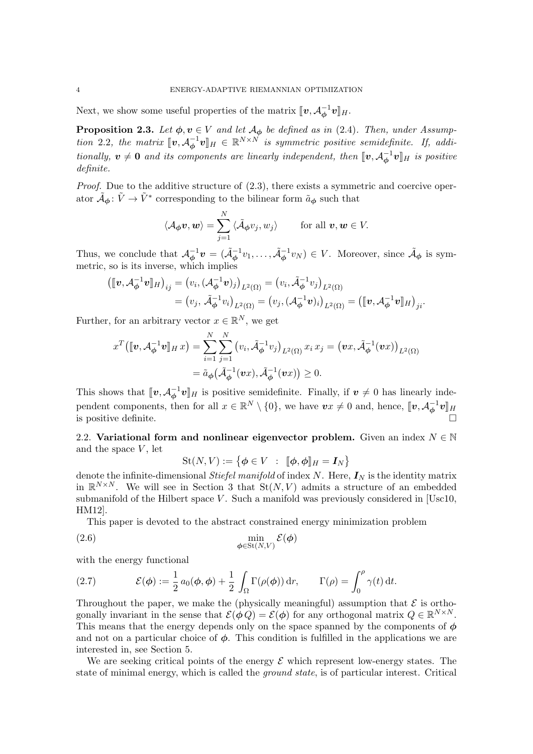Next, we show some useful properties of the matrix  $[\![\boldsymbol{v},\mathcal{A}_{\phi}^{-1}$  $\bar{\phi}^{-1} \bm{v} \rrbracket_{H}.$ 

<span id="page-3-0"></span>**Proposition 2.3.** Let  $\phi, v \in V$  and let  $\mathcal{A}_{\phi}$  be defined as in [\(2.4\)](#page-2-4). Then, under Assump-tion [2.2](#page-2-3), the matrix  $[\![\boldsymbol{v}, A_{\boldsymbol{\phi}}^{-1}]\!]$  $\mathcal{L}_{\boldsymbol{\phi}}^{-1} \boldsymbol{v}$   $\mathbb{I}_H \in \mathbb{R}^{N \times N}$  is symmetric positive semidefinite. If, additionally,  $v \neq 0$  and its components are linearly independent, then  $[\![v, A^{-1}_{\phi}]\!]$  $\mathbf{v}_\phi^{-1}\mathbf{v}$  is positive definite.

Proof. Due to the additive structure of  $(2.3)$ , there exists a symmetric and coercive operator  $\tilde{A}_{\phi}$ :  $\tilde{V} \to \tilde{V}^*$  corresponding to the bilinear form  $\tilde{a}_{\phi}$  such that

$$
\langle A_{\phi}\boldsymbol{v},\boldsymbol{w}\rangle=\sum_{j=1}^N\langle \tilde{A}_{\phi}v_j,w_j\rangle
$$
 for all  $\boldsymbol{v},\boldsymbol{w}\in V$ .

Thus, we conclude that  $\mathcal{A}_{\phi}^{-1}$  $\phi^{-1}\mathbf{v} = (\tilde{\mathcal{A}}_{\boldsymbol{\phi}}^{-1}v_1,\ldots,\tilde{\mathcal{A}}_{\boldsymbol{\phi}}^{-1}v_N) \in V$ . Moreover, since  $\tilde{\mathcal{A}}_{\boldsymbol{\phi}}$  is symmetric, so is its inverse, which implies

$$
\begin{aligned} \left( [\![\boldsymbol{v}, \mathcal{A}_{\boldsymbol{\phi}}^{-1}\boldsymbol{v}]\!]_{H} \right)_{ij} &= \left( v_i, \left( \mathcal{A}_{\boldsymbol{\phi}}^{-1}\boldsymbol{v} \right)_{j} \right)_{L^2(\Omega)} = \left( v_i, \tilde{\mathcal{A}}_{\boldsymbol{\phi}}^{-1} v_j \right)_{L^2(\Omega)} \\ &= \left( v_j, \tilde{\mathcal{A}}_{\boldsymbol{\phi}}^{-1} v_i \right)_{L^2(\Omega)} = \left( v_j, \left( \mathcal{A}_{\boldsymbol{\phi}}^{-1}\boldsymbol{v} \right)_{i} \right)_{L^2(\Omega)} = \left( [\![\boldsymbol{v}, \mathcal{A}_{\boldsymbol{\phi}}^{-1}\boldsymbol{v}]\!]_{H} \right)_{ji}. \end{aligned}
$$

Further, for an arbitrary vector  $x \in \mathbb{R}^N$ , we get

$$
x^T([\![\boldsymbol{v}, \mathcal{A}_{\boldsymbol{\phi}}^{-1}\boldsymbol{v}]\!]_{H} \, x) = \sum_{i=1}^N \sum_{j=1}^N \big(v_i, \tilde{\mathcal{A}}_{\boldsymbol{\phi}}^{-1} v_j\big)_{L^2(\Omega)} x_i \, x_j = \big(\boldsymbol{v} x, \tilde{\mathcal{A}}_{\boldsymbol{\phi}}^{-1}(\boldsymbol{v} x)\big)_{L^2(\Omega)} = \tilde{a}_{\boldsymbol{\phi}}\big(\tilde{\mathcal{A}}_{\boldsymbol{\phi}}^{-1}(\boldsymbol{v} x), \tilde{\mathcal{A}}_{\boldsymbol{\phi}}^{-1}(\boldsymbol{v} x)\big) \geq 0.
$$

This shows that  $[\![\boldsymbol{v},\boldsymbol{\mathcal{A}}_{\boldsymbol{\phi}}^{-1}$  $\mathbf{v}^{-1}\mathbf{v}$  is positive semidefinite. Finally, if  $\mathbf{v} \neq 0$  has linearly independent components, then for all  $x \in \mathbb{R}^N \setminus \{0\}$ , we have  $vx \neq 0$  and, hence,  $[\![v, \mathcal{A}_{\phi}^{-1}]\!]$  $\begin{bmatrix} -\frac{1}{\phi} \bm{v} \end{bmatrix}$ H is positive definite.

2.2. Variational form and nonlinear eigenvector problem. Given an index  $N \in \mathbb{N}$ and the space  $V$ , let

<span id="page-3-2"></span>
$$
St(N, V) := \{ \boldsymbol{\phi} \in V : [\![ \boldsymbol{\phi}, \boldsymbol{\phi} ]\!]_H = \boldsymbol{I}_N \}
$$

denote the infinite-dimensional *Stiefel manifold* of index N. Here,  $I_N$  is the identity matrix in  $\mathbb{R}^{N\times N}$ . We will see in Section [3](#page-4-0) that  $St(N, V)$  admits a structure of an embedded submanifold of the Hilbert space  $V$ . Such a manifold was previously considered in [\[Usc10,](#page-22-15) [HM12\]](#page-22-16).

This paper is devoted to the abstract constrained energy minimization problem

$$
\min_{\phi \in \text{St}(N,V)} \mathcal{E}(\phi)
$$

with the energy functional

<span id="page-3-1"></span>(2.7) 
$$
\mathcal{E}(\phi) := \frac{1}{2} a_0(\phi, \phi) + \frac{1}{2} \int_{\Omega} \Gamma(\rho(\phi)) dr, \qquad \Gamma(\rho) = \int_0^{\rho} \gamma(t) dt.
$$

Throughout the paper, we make the (physically meaningful) assumption that  $\mathcal E$  is orthogonally invariant in the sense that  $\mathcal{E}(\phi Q) = \mathcal{E}(\phi)$  for any orthogonal matrix  $Q \in \mathbb{R}^{N \times N}$ . This means that the energy depends only on the space spanned by the components of  $\phi$ and not on a particular choice of  $\phi$ . This condition is fulfilled in the applications we are interested in, see Section [5.](#page-16-0)

We are seeking critical points of the energy  $\mathcal E$  which represent low-energy states. The state of minimal energy, which is called the *ground state*, is of particular interest. Critical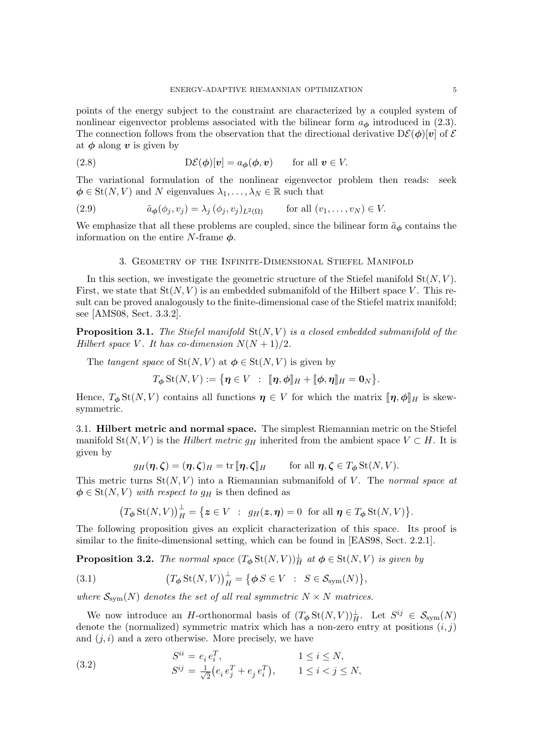points of the energy subject to the constraint are characterized by a coupled system of nonlinear eigenvector problems associated with the bilinear form  $a_{\phi}$  introduced in [\(2.3\)](#page-2-2). The connection follows from the observation that the directional derivative  $D\mathcal{E}(\phi)[v]$  of  $\mathcal E$ at  $\phi$  along v is given by

<span id="page-4-2"></span>(2.8) 
$$
D\mathcal{E}(\phi)[v] = a_{\phi}(\phi, v) \quad \text{for all } v \in V.
$$

The variational formulation of the nonlinear eigenvector problem then reads: seek  $\phi \in \text{St}(N, V)$  and N eigenvalues  $\lambda_1, \ldots, \lambda_N \in \mathbb{R}$  such that

<span id="page-4-3"></span>(2.9) 
$$
\tilde{a}_{\phi}(\phi_j, v_j) = \lambda_j (\phi_j, v_j)_{L^2(\Omega)} \quad \text{for all } (v_1, \dots, v_N) \in V.
$$

We emphasize that all these problems are coupled, since the bilinear form  $\tilde{a}_{\phi}$  contains the information on the entire N-frame  $\phi$ .

# 3. Geometry of the Infinite-Dimensional Stiefel Manifold

<span id="page-4-0"></span>In this section, we investigate the geometric structure of the Stiefel manifold  $St(N, V)$ . First, we state that  $St(N, V)$  is an embedded submanifold of the Hilbert space V. This result can be proved analogously to the finite-dimensional case of the Stiefel matrix manifold; see [\[AMS08,](#page-21-3) Sect. 3.3.2].

**Proposition 3.1.** The Stiefel manifold  $St(N, V)$  is a closed embedded submanifold of the Hilbert space V. It has co-dimension  $N(N+1)/2$ .

The tangent space of  $St(N, V)$  at  $\phi \in St(N, V)$  is given by

$$
T_{\boldsymbol{\phi}}\operatorname{St}(N,V):=\big\{\boldsymbol{\eta}\in V\ :\ \ \llbracket\boldsymbol{\eta},\boldsymbol{\phi}\rrbracket_H+\llbracket\boldsymbol{\phi},\boldsymbol{\eta}\rrbracket_H=\boldsymbol{0}_N\big\}.
$$

Hence,  $T_{\phi}$  St(N, V) contains all functions  $\eta \in V$  for which the matrix  $[\![\eta, \phi]\!]_H$  is skewsymmetric.

3.1. Hilbert metric and normal space. The simplest Riemannian metric on the Stiefel manifold St(N, V) is the Hilbert metric  $g_H$  inherited from the ambient space  $V \subset H$ . It is given by

$$
g_H(\eta, \zeta) = (\eta, \zeta)_H = \text{tr} [\![\eta, \zeta]\!]_H
$$
 for all  $\eta, \zeta \in T_\phi \text{St}(N, V)$ .

This metric turns  $St(N, V)$  into a Riemannian submanifold of V. The normal space at  $\phi \in \text{St}(N, V)$  with respect to  $g_H$  is then defined as

$$
(T_{\phi} \operatorname{St}(N, V))_{H}^{\perp} = \{ \boldsymbol{z} \in V \ : \ g_{H}(\boldsymbol{z}, \boldsymbol{\eta}) = 0 \ \text{ for all } \boldsymbol{\eta} \in T_{\phi} \operatorname{St}(N, V) \}.
$$

The following proposition gives an explicit characterization of this space. Its proof is similar to the finite-dimensional setting, which can be found in [\[EAS98,](#page-22-17) Sect. 2.2.1].

**Proposition 3.2.** The normal space  $(T_{\phi} \text{St}(N, V))_{H}^{\perp}$  at  $\phi \in \text{St}(N, V)$  is given by

(3.1) 
$$
\left(T_{\phi} \operatorname{St}(N, V)\right)_{H}^{\perp} = \left\{\phi S \in V : S \in \mathcal{S}_{sym}(N)\right\},\
$$

where  $S_{\text{sym}}(N)$  denotes the set of all real symmetric  $N \times N$  matrices.

We now introduce an H-orthonormal basis of  $(T_{\phi} \text{St}(N, V))_H^{\perp}$ . Let  $S^{ij} \in \mathcal{S}_{sym}(N)$ denote the (normalized) symmetric matrix which has a non-zero entry at positions  $(i, j)$ and  $(j, i)$  and a zero otherwise. More precisely, we have

<span id="page-4-1"></span>(3.2) 
$$
S^{ii} = e_i e_i^T, \qquad 1 \le i \le N, \nS^{ij} = \frac{1}{\sqrt{2}} (e_i e_j^T + e_j e_i^T), \qquad 1 \le i < j \le N,
$$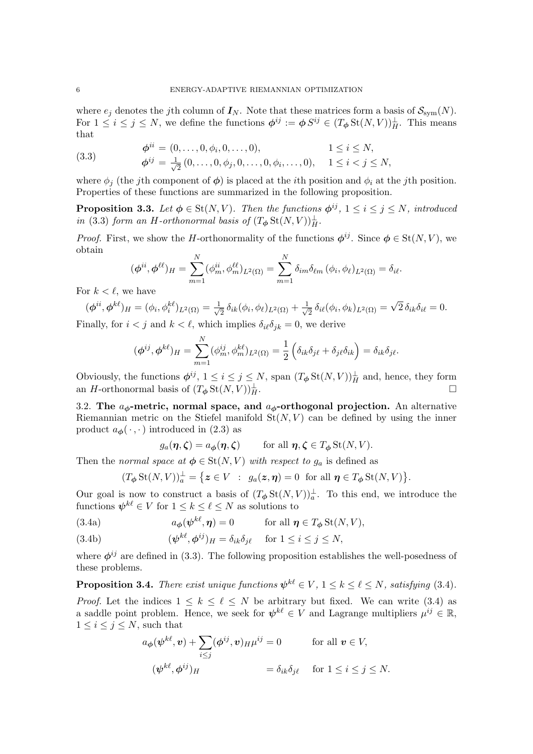where  $e_j$  denotes the jth column of  $I_N$ . Note that these matrices form a basis of  $\mathcal{S}_{sym}(N)$ . For  $1 \leq i \leq j \leq N$ , we define the functions  $\phi^{ij} := \phi S^{ij} \in (T_{\phi} \text{St}(N, V))_H^{\perp}$ . This means that

<span id="page-5-0"></span>(3.3) 
$$
\begin{aligned}\n\phi^{ii} &= (0, \dots, 0, \phi_i, 0, \dots, 0), & 1 \leq i \leq N, \\
\phi^{ij} &= \frac{1}{\sqrt{2}} (0, \dots, 0, \phi_j, 0, \dots, 0, \phi_i, \dots, 0), & 1 \leq i < j \leq N,\n\end{aligned}
$$

where  $\phi_j$  (the j<sup>th</sup> component of  $\phi$ ) is placed at the *i*<sup>th</sup> position and  $\phi_i$  at the j<sup>th</sup> position. Properties of these functions are summarized in the following proposition.

<span id="page-5-3"></span>**Proposition 3.3.** Let  $\phi \in \text{St}(N, V)$ . Then the functions  $\phi^{ij}$ ,  $1 \le i \le j \le N$ , introduced in [\(3.3\)](#page-5-0) form an H-orthonormal basis of  $(T_{\phi} St(N, V))_{H}^{\perp}$ .

*Proof.* First, we show the H-orthonormality of the functions  $\phi^{ij}$ . Since  $\phi \in \text{St}(N, V)$ , we obtain

$$
(\boldsymbol{\phi}^{ii}, \boldsymbol{\phi}^{\ell\ell})_H = \sum_{m=1}^N (\phi^{ii}_m, \phi^{ \ell\ell}_m)_{L^2(\Omega)} = \sum_{m=1}^N \delta_{im} \delta_{\ell m} (\phi_i, \phi_{\ell})_{L^2(\Omega)} = \delta_{i\ell}.
$$

For  $k < \ell$ , we have

$$
(\phi^{ii}, \phi^{k\ell})_H = (\phi_i, \phi_i^{k\ell})_{L^2(\Omega)} = \frac{1}{\sqrt{2}} \delta_{ik}(\phi_i, \phi_{\ell})_{L^2(\Omega)} + \frac{1}{\sqrt{2}} \delta_{i\ell}(\phi_i, \phi_k)_{L^2(\Omega)} = \sqrt{2} \delta_{ik} \delta_{i\ell} = 0.
$$

Finally, for  $i < j$  and  $k < \ell$ , which implies  $\delta_{i\ell} \delta_{jk} = 0$ , we derive

$$
(\phi^{ij}, \phi^{k\ell})_H = \sum_{m=1}^N (\phi^{ij}_m, \phi^{k\ell}_m)_{L^2(\Omega)} = \frac{1}{2} \left( \delta_{ik} \delta_{j\ell} + \delta_{j\ell} \delta_{ik} \right) = \delta_{ik} \delta_{j\ell}.
$$

Obviously, the functions  $\phi^{ij}$ ,  $1 \leq i \leq j \leq N$ , span  $(T_{\phi} \text{St}(N, V))_{H}^{\perp}$  and, hence, they form an H-orthonormal basis of  $(T_{\phi} St(N, V))_{H}^{\perp}$ .  $\frac{1}{H}$ .

3.2. The  $a_{\phi}$ -metric, normal space, and  $a_{\phi}$ -orthogonal projection. An alternative Riemannian metric on the Stiefel manifold  $St(N, V)$  can be defined by using the inner product  $a_{\phi}(\cdot, \cdot)$  introduced in [\(2.3\)](#page-2-2) as

<span id="page-5-1"></span>
$$
g_a(\eta, \zeta) = a_{\phi}(\eta, \zeta)
$$
 for all  $\eta, \zeta \in T_{\phi} \text{St}(N, V)$ .

Then the normal space at  $\phi \in \text{St}(N, V)$  with respect to  $g_a$  is defined as

$$
(T_{\boldsymbol{\phi}}\operatorname{St}(N,V))^\perp_a = \{ \boldsymbol{z} \in V \ : \ g_a(\boldsymbol{z},\boldsymbol{\eta}) = 0 \ \text{ for all } \boldsymbol{\eta} \in T_{\boldsymbol{\phi}}\operatorname{St}(N,V) \}.
$$

Our goal is now to construct a basis of  $(T_{\phi} St(N, V))_{a}^{\perp}$ . To this end, we introduce the functions  $\psi^{k\ell} \in V$  for  $1 \leq k \leq \ell \leq N$  as solutions to

<span id="page-5-2"></span>(3.4a) 
$$
a_{\phi}(\psi^{k\ell}, \eta) = 0 \quad \text{for all } \eta \in T_{\phi} \text{St}(N, V),
$$

<span id="page-5-4"></span>(3.4b) 
$$
(\psi^{k\ell}, \phi^{ij})_H = \delta_{ik}\delta_{j\ell} \quad \text{for } 1 \le i \le j \le N,
$$

where  $\phi^{ij}$  are defined in [\(3.3\)](#page-5-0). The following proposition establishes the well-posedness of these problems.

**Proposition 3.4.** There exist unique functions  $\psi^{k\ell} \in V$ ,  $1 \leq k \leq \ell \leq N$ , satisfying [\(3.4\)](#page-5-1).

*Proof.* Let the indices  $1 \leq k \leq \ell \leq N$  be arbitrary but fixed. We can write [\(3.4\)](#page-5-1) as a saddle point problem. Hence, we seek for  $\psi^{k\ell} \in V$  and Lagrange multipliers  $\mu^{ij} \in \mathbb{R}$ ,  $1 \leq i \leq j \leq N$ , such that

$$
a_{\phi}(\psi^{k\ell}, \mathbf{v}) + \sum_{i \le j} (\phi^{ij}, \mathbf{v})_{H} \mu^{ij} = 0 \quad \text{for all } \mathbf{v} \in V,
$$
  

$$
(\psi^{k\ell}, \phi^{ij})_{H} = \delta_{ik} \delta_{j\ell} \quad \text{for } 1 \le i \le j \le N.
$$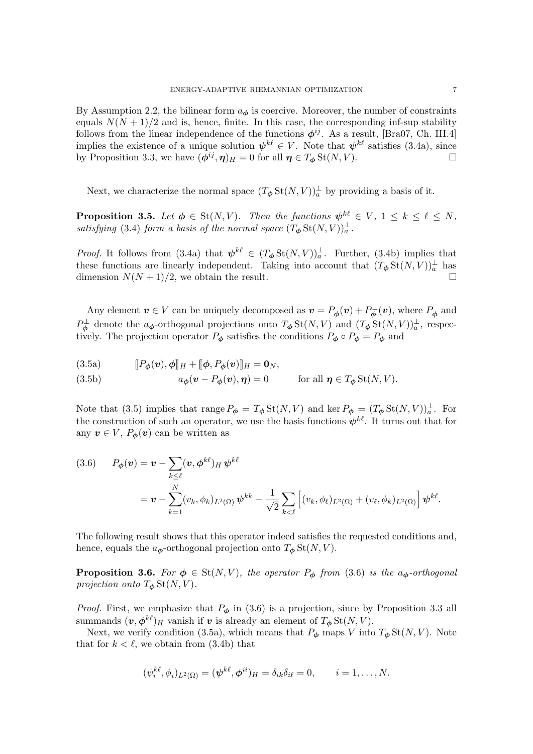By Assumption [2.2,](#page-2-3) the bilinear form  $a_{\phi}$  is coercive. Moreover, the number of constraints equals  $N(N + 1)/2$  and is, hence, finite. In this case, the corresponding inf-sup stability follows from the linear independence of the functions  $\phi^{ij}$ . As a result, [\[Bra07,](#page-21-4) Ch. III.4] implies the existence of a unique solution  $\psi^{k\ell} \in V$ . Note that  $\psi^{k\ell}$  satisfies [\(3.4a\)](#page-5-2), since by Proposition [3.3,](#page-5-3) we have  $(\bar{\phi}^{ij}, \eta)_H = 0$  for all  $\eta \in T_{\phi}$  St $(N, V)$ .

Next, we characterize the normal space  $(T_{\phi} \text{St}(N, V))_a^{\perp}$  by providing a basis of it.

**Proposition 3.5.** Let  $\phi \in \text{St}(N, V)$ . Then the functions  $\psi^{k\ell} \in V$ ,  $1 \leq k \leq \ell \leq N$ , satisfying [\(3.4\)](#page-5-1) form a basis of the normal space  $(T_{\phi} St(N, V))_{a}^{\perp}$ .

*Proof.* It follows from [\(3.4a\)](#page-5-2) that  $\psi^{k\ell} \in (T_{\phi} \text{St}(N, V))_a^{\perp}$ . Further, [\(3.4b\)](#page-5-4) implies that these functions are linearly independent. Taking into account that  $(T_{\phi} St(N, V))_a^{\perp}$  has dimension  $N(N+1)/2$ , we obtain the result.

<span id="page-6-0"></span>Any element  $v \in V$  can be uniquely decomposed as  $v = P_{\phi}(v) + P_{\phi}^{\perp}(v)$ , where  $P_{\phi}$  and  $P_{\phi}^{\perp}$  denote the  $a_{\phi}$ -orthogonal projections onto  $T_{\phi}$  St $(N, V)$  and  $(T_{\phi}$  St $(N, V))_{a}^{\perp}$ , respectively. The projection operator  $P_{\phi}$  satisfies the conditions  $P_{\phi} \circ P_{\phi} = P_{\phi}$  and

<span id="page-6-2"></span>
$$
(3.5a) \t\t\t[ P_{\boldsymbol{\phi}}(\boldsymbol{v}), \boldsymbol{\phi}]_H + [\![\boldsymbol{\phi}, P_{\boldsymbol{\phi}}(\boldsymbol{v})]\!]_H = \mathbf{0}_N,
$$

<span id="page-6-3"></span>(3.5b)  $a_{\phi}(\mathbf{v} - P_{\phi}(\mathbf{v}), \boldsymbol{\eta}) = 0$  for all  $\boldsymbol{\eta} \in T_{\phi} \text{St}(N, V)$ .

Note that [\(3.5\)](#page-6-0) implies that range  $P_{\phi} = T_{\phi} \text{St}(N, V)$  and ker  $P_{\phi} = (T_{\phi} \text{St}(N, V))_a^{\perp}$ . For the construction of such an operator, we use the basis functions  $\psi^{k\ell}$ . It turns out that for any  $v \in V$ ,  $P_{\phi}(v)$  can be written as

<span id="page-6-1"></span>(3.6) 
$$
P_{\phi}(v) = v - \sum_{k \leq \ell} (v, \phi^{k\ell})_H \psi^{k\ell}
$$
  
=  $v - \sum_{k=1}^N (v_k, \phi_k)_{L^2(\Omega)} \psi^{k\ell} - \frac{1}{\sqrt{2}} \sum_{k < \ell} \left[ (v_k, \phi_\ell)_{L^2(\Omega)} + (v_\ell, \phi_k)_{L^2(\Omega)} \right] \psi^{k\ell}.$ 

The following result shows that this operator indeed satisfies the requested conditions and, hence, equals the  $a_{\phi}$ -orthogonal projection onto  $T_{\phi}$  St $(N, V)$ .

**Proposition 3.6.** For  $\phi \in St(N, V)$ , the operator  $P_{\phi}$  from [\(3.6\)](#page-6-1) is the a<sub> $\phi$ </sub>-orthogonal projection onto  $T_{\phi}$  St(N, V).

*Proof.* First, we emphasize that  $P_{\phi}$  in [\(3.6\)](#page-6-1) is a projection, since by Proposition [3.3](#page-5-3) all summands  $(\boldsymbol{v}, \boldsymbol{\phi}^{k\ell})_H$  vanish if  $\boldsymbol{v}$  is already an element of  $T_{\boldsymbol{\phi}}$  St $(N, V)$ .

Next, we verify condition [\(3.5a\)](#page-6-2), which means that  $P_{\phi}$  maps V into  $T_{\phi}$  St $(N, V)$ . Note that for  $k < \ell$ , we obtain from [\(3.4b\)](#page-5-4) that

$$
(\psi_i^{k\ell}, \phi_i)_{L^2(\Omega)} = (\psi^{k\ell}, \phi^{ii})_H = \delta_{ik}\delta_{i\ell} = 0, \qquad i = 1, \dots, N.
$$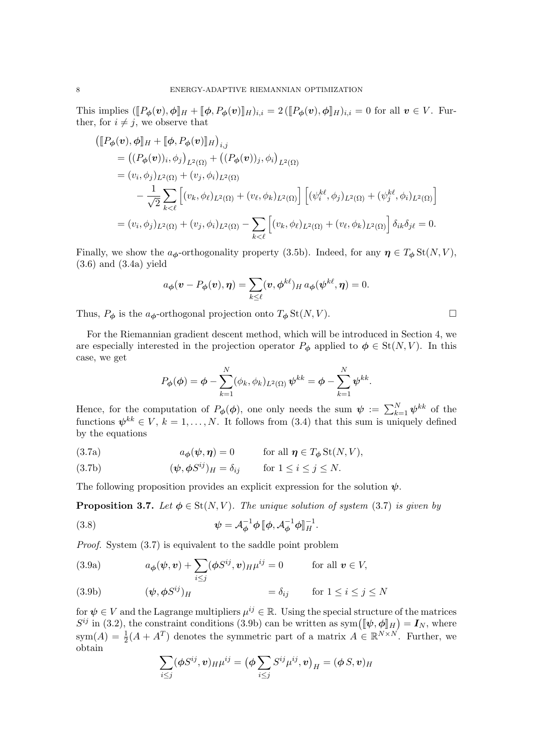This implies  $(\llbracket P_{\phi}(v), \phi \rrbracket_H + \llbracket \phi, P_{\phi}(v) \rrbracket_H)_{i,i} = 2 (\llbracket P_{\phi}(v), \phi \rrbracket_H)_{i,i} = 0$  for all  $v \in V$ . Further, for  $i \neq j$ , we observe that

$$
\begin{split}\n&\left(\llbracket P_{\phi}(\boldsymbol{v}), \phi \rrbracket_{H} + \llbracket \phi, P_{\phi}(\boldsymbol{v}) \rrbracket_{H}\right)_{i,j} \\
&= \left( (P_{\phi}(\boldsymbol{v}))_{i}, \phi_{j} \right)_{L^{2}(\Omega)} + \left( (P_{\phi}(\boldsymbol{v}))_{j}, \phi_{i} \right)_{L^{2}(\Omega)} \\
&= (v_{i}, \phi_{j})_{L^{2}(\Omega)} + (v_{j}, \phi_{i})_{L^{2}(\Omega)} \\
&\quad - \frac{1}{\sqrt{2}} \sum_{k < \ell} \left[ (v_{k}, \phi_{\ell})_{L^{2}(\Omega)} + (v_{\ell}, \phi_{k})_{L^{2}(\Omega)} \right] \left[ (\psi_{i}^{k\ell}, \phi_{j})_{L^{2}(\Omega)} + (\psi_{j}^{k\ell}, \phi_{i})_{L^{2}(\Omega)} \right] \\
&= (v_{i}, \phi_{j})_{L^{2}(\Omega)} + (v_{j}, \phi_{i})_{L^{2}(\Omega)} - \sum_{k < \ell} \left[ (v_{k}, \phi_{\ell})_{L^{2}(\Omega)} + (v_{\ell}, \phi_{k})_{L^{2}(\Omega)} \right] \delta_{ik} \delta_{j\ell} = 0.\n\end{split}
$$

Finally, we show the  $a_{\phi}$ -orthogonality property [\(3.5b\)](#page-6-3). Indeed, for any  $\eta \in T_{\phi}$  St $(N, V)$ , [\(3.6\)](#page-6-1) and [\(3.4a\)](#page-5-2) yield

$$
a_{\boldsymbol{\phi}}(\boldsymbol{v} - P_{\boldsymbol{\phi}}(\boldsymbol{v}), \boldsymbol{\eta}) = \sum_{k \leq \ell} (\boldsymbol{v}, \boldsymbol{\phi}^{k\ell})_H a_{\boldsymbol{\phi}}(\boldsymbol{\psi}^{k\ell}, \boldsymbol{\eta}) = 0.
$$

Thus,  $P_{\phi}$  is the  $a_{\phi}$ -orthogonal projection onto  $T_{\phi}$  St $(N, V)$ .

For the Riemannian gradient descent method, which will be introduced in Section [4,](#page-12-0) we are especially interested in the projection operator  $P_{\phi}$  applied to  $\phi \in \text{St}(N, V)$ . In this case, we get

<span id="page-7-0"></span>
$$
P_{\boldsymbol{\phi}}(\boldsymbol{\phi}) = \boldsymbol{\phi} - \sum_{k=1}^N (\phi_k, \phi_k)_{L^2(\Omega)} \boldsymbol{\psi}^{kk} = \boldsymbol{\phi} - \sum_{k=1}^N \boldsymbol{\psi}^{kk}.
$$

Hence, for the computation of  $P_{\phi}(\phi)$ , one only needs the sum  $\psi := \sum_{k=1}^{N} \psi^{kk}$  of the functions  $\psi^{kk} \in V, k = 1, ..., N$ . It follows from [\(3.4\)](#page-5-1) that this sum is uniquely defined by the equations

(3.7a) 
$$
a_{\phi}(\psi, \eta) = 0 \quad \text{for all } \eta \in T_{\phi} \text{St}(N, V),
$$

(3.7b) 
$$
(\psi, \phi S^{ij})_H = \delta_{ij} \quad \text{for } 1 \le i \le j \le N.
$$

The following proposition provides an explicit expression for the solution  $\psi$ .

<span id="page-7-4"></span>**Proposition 3.7.** Let  $\phi \in \text{St}(N, V)$ . The unique solution of system [\(3.7\)](#page-7-0) is given by

<span id="page-7-3"></span>(3.8) 
$$
\psi = \mathcal{A}_{\phi}^{-1} \phi \, [\phi, \mathcal{A}_{\phi}^{-1} \phi]_{H}^{-1}.
$$

Proof. System [\(3.7\)](#page-7-0) is equivalent to the saddle point problem

(3.9a) 
$$
a_{\phi}(\psi, \mathbf{v}) + \sum_{i \leq j} (\phi S^{ij}, \mathbf{v})_{H} \mu^{ij} = 0 \quad \text{for all } \mathbf{v} \in V,
$$

<span id="page-7-1"></span>(3.9b) 
$$
(\psi, \phi S^{ij})_H = \delta_{ij} \quad \text{for } 1 \leq i \leq j \leq N
$$

for  $\psi \in V$  and the Lagrange multipliers  $\mu^{ij} \in \mathbb{R}$ . Using the special structure of the matrices  $S^{ij}$  in [\(3.2\)](#page-4-1), the constraint conditions [\(3.9b\)](#page-7-1) can be written as sym $([\![\psi, \phi]\!]_H) = I_N$ , where  $\text{sym}(A) = \frac{1}{2}(A + A^T)$  denotes the symmetric part of a matrix  $A \in \mathbb{R}^{N \times N}$ . Further, we obtain

<span id="page-7-2"></span>
$$
\sum_{i \leq j} (\phi S^{ij}, v)_{H} \mu^{ij} = (\phi \sum_{i \leq j} S^{ij} \mu^{ij}, v)_{H} = (\phi S, v)_{H}
$$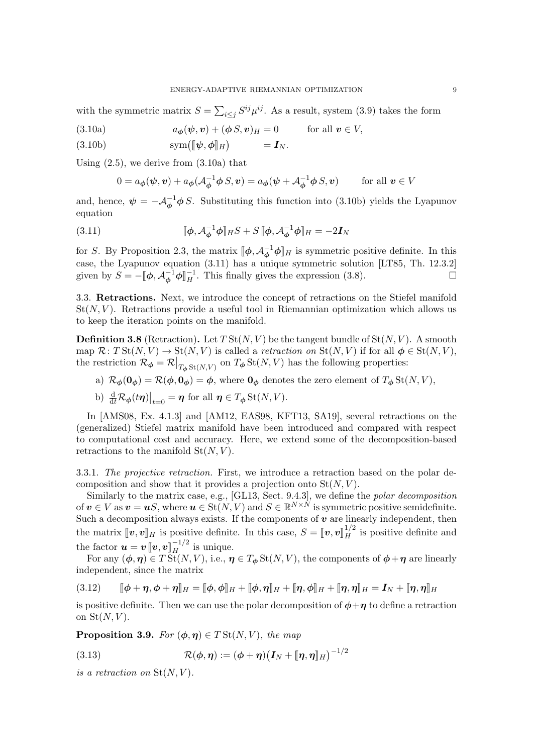with the symmetric matrix  $S = \sum_{i \leq j} S^{ij} \mu^{ij}$ . As a result, system [\(3.9\)](#page-7-2) takes the form

<span id="page-8-0"></span>(3.10a) 
$$
a_{\boldsymbol{\phi}}(\boldsymbol{\psi}, \boldsymbol{v}) + (\boldsymbol{\phi} \, S, \boldsymbol{v})_H = 0 \quad \text{for all } \boldsymbol{v} \in V,
$$

<span id="page-8-1"></span>(3.10b)  $\text{sym}([\![\psi,\phi]\!]_H) = \mathbf{I}_N.$ 

Using  $(2.5)$ , we derive from  $(3.10a)$  that

<span id="page-8-2"></span>
$$
0 = a_{\phi}(\psi, \mathbf{v}) + a_{\phi}(\mathcal{A}_{\phi}^{-1} \phi S, \mathbf{v}) = a_{\phi}(\psi + \mathcal{A}_{\phi}^{-1} \phi S, \mathbf{v}) \quad \text{for all } \mathbf{v} \in V
$$

and, hence,  $\psi = -\mathcal{A}_{\phi}^{-1} \phi S$ . Substituting this function into [\(3.10b\)](#page-8-1) yields the Lyapunov equation

(3.11) 
$$
\[\![\phi, \mathcal{A}_{\phi}^{-1}\phi]\!]_H S + S \[\![\phi, \mathcal{A}_{\phi}^{-1}\phi]\!]_H = -2\boldsymbol{I}_N
$$

for S. By Proposition [2.3,](#page-3-0) the matrix  $[\![\phi, \mathcal{A}_{\phi}^{-1} \phi]\!]_H$  is symmetric positive definite. In this case, the Lyapunov equation [\(3.11\)](#page-8-2) has a unique symmetric solution [\[LT85,](#page-22-18) Th. 12.3.2] given by  $S = -\llbracket \phi, \mathcal{A}_{\phi}^{-1} \phi \rrbracket_{H}^{-1}$ . This finally gives the expression [\(3.8\)](#page-7-3).

<span id="page-8-6"></span>3.3. Retractions. Next, we introduce the concept of retractions on the Stiefel manifold  $St(N, V)$ . Retractions provide a useful tool in Riemannian optimization which allows us to keep the iteration points on the manifold.

<span id="page-8-5"></span>**Definition 3.8** (Retraction). Let  $T St(N, V)$  be the tangent bundle of  $St(N, V)$ . A smooth map  $\mathcal{R}: T\mathrm{St}(N, V) \to \mathrm{St}(N, V)$  is called a *retraction on*  $\mathrm{St}(N, V)$  if for all  $\phi \in \mathrm{St}(N, V)$ , the restriction  $\mathcal{R}_{\phi} = \mathcal{R}|_{T_{\phi} \text{St}(N, V)}$  on  $T_{\phi} \text{St}(N, V)$  has the following properties:

a)  $\mathcal{R}_{\phi}(\mathbf{0}_{\phi}) = \mathcal{R}(\phi, \mathbf{0}_{\phi}) = \phi$ , where  $\mathbf{0}_{\phi}$  denotes the zero element of  $T_{\phi}$  St $(N, V)$ ,

b) 
$$
\frac{\mathrm{d}}{\mathrm{d}t}\mathcal{R}_{\phi}(t\eta)\big|_{t=0} = \eta
$$
 for all  $\eta \in T_{\phi} \text{St}(N, V)$ .

In [\[AMS08,](#page-21-3) Ex. 4.1.3] and [\[AM12,](#page-21-5) [EAS98,](#page-22-17) [KFT13,](#page-22-19) [SA19\]](#page-22-20), several retractions on the (generalized) Stiefel matrix manifold have been introduced and compared with respect to computational cost and accuracy. Here, we extend some of the decomposition-based retractions to the manifold  $St(N, V)$ .

<span id="page-8-7"></span>3.3.1. The projective retraction. First, we introduce a retraction based on the polar decomposition and show that it provides a projection onto  $St(N, V)$ .

Similarly to the matrix case, e.g., [\[GL13,](#page-22-21) Sect. 9.4.3], we define the *polar decomposition* of  $v \in V$  as  $v = uS$ , where  $u \in St(N, V)$  and  $S \in \mathbb{R}^{N \times N}$  is symmetric positive semidefinite. Such a decomposition always exists. If the components of  $v$  are linearly independent, then the matrix  $[\![v, v]\!]_H$  is positive definite. In this case,  $S = [\![v, v]\!]_H^{1/2}$  is positive definite and the factor  $\boldsymbol{u} = \boldsymbol{v} \left[ \boldsymbol{v}, \boldsymbol{v} \right]_{H}^{-1/2}$  is unique.<br>For any  $(A, \boldsymbol{v}) \in T_{\boldsymbol{v}}^{(k)}(N, V)$  i.e., and

For any  $(\phi, \eta) \in T$  St $(N, V)$ , i.e.,  $\eta \in T_{\phi}$  St $(N, V)$ , the components of  $\phi + \eta$  are linearly independent, since the matrix

<span id="page-8-3"></span>(3.12) 
$$
\llbracket \boldsymbol{\phi} + \boldsymbol{\eta}, \boldsymbol{\phi} + \boldsymbol{\eta} \rrbracket_H = \llbracket \boldsymbol{\phi}, \boldsymbol{\phi} \rrbracket_H + \llbracket \boldsymbol{\phi}, \boldsymbol{\eta} \rrbracket_H + \llbracket \boldsymbol{\eta}, \boldsymbol{\phi} \rrbracket_H + \llbracket \boldsymbol{\eta}, \boldsymbol{\eta} \rrbracket_H = \boldsymbol{I}_N + \llbracket \boldsymbol{\eta}, \boldsymbol{\eta} \rrbracket_H
$$

is positive definite. Then we can use the polar decomposition of  $\phi + \eta$  to define a retraction on  $St(N, V)$ .

**Proposition 3.9.** For  $(\phi, \eta) \in T \text{St}(N, V)$ , the map

<span id="page-8-4"></span>(3.13) 
$$
\mathcal{R}(\phi,\eta) := (\phi+\eta)\big(\mathbf{I}_N + [\![\eta,\eta]\!]_H\big)^{-1/2}
$$

is a retraction on  $St(N, V)$ .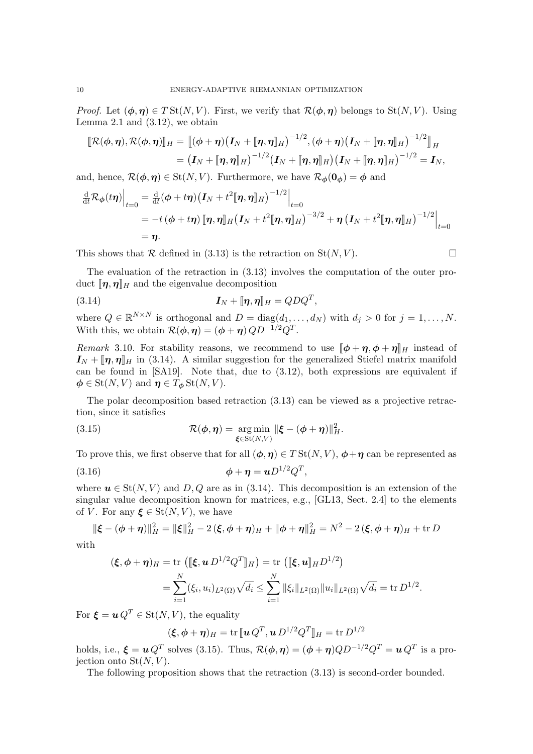*Proof.* Let  $(\phi, \eta) \in T\text{St}(N, V)$ . First, we verify that  $\mathcal{R}(\phi, \eta)$  belongs to  $\text{St}(N, V)$ . Using Lemma [2.1](#page-2-6) and  $(3.12)$ , we obtain

$$
\llbracket \mathcal{R}(\phi,\eta),\mathcal{R}(\phi,\eta) \rrbracket_H = \llbracket (\phi+\eta) \big( I_N + \llbracket \eta,\eta \rrbracket_H \big)^{-1/2}, (\phi+\eta) \big( I_N + \llbracket \eta,\eta \rrbracket_H \big)^{-1/2} \rrbracket_H = \big( I_N + \llbracket \eta,\eta \rrbracket_H \big)^{-1/2} \big( I_N + \llbracket \eta,\eta \rrbracket_H \big) \big( I_N + \llbracket \eta,\eta \rrbracket_H \big)^{-1/2} = I_N,
$$

and, hence,  $\mathcal{R}(\phi, \eta) \in \text{St}(N, V)$ . Furthermore, we have  $\mathcal{R}_{\phi}(0_{\phi}) = \phi$  and

$$
\frac{\mathrm{d}}{\mathrm{d}t}\mathcal{R}_{\phi}(t\boldsymbol{\eta})\Big|_{t=0} = \frac{\mathrm{d}}{\mathrm{d}t}(\phi + t\boldsymbol{\eta})\big(\boldsymbol{I}_{N} + t^{2}[\![\boldsymbol{\eta},\boldsymbol{\eta}]\!]_{H}\big)^{-1/2}\Big|_{t=0}
$$
\n
$$
= -t(\phi + t\boldsymbol{\eta})[\![\boldsymbol{\eta},\boldsymbol{\eta}]\!]_{H}\big(\boldsymbol{I}_{N} + t^{2}[\![\boldsymbol{\eta},\boldsymbol{\eta}]\!]_{H}\big)^{-3/2} + \boldsymbol{\eta}\left(\boldsymbol{I}_{N} + t^{2}[\![\boldsymbol{\eta},\boldsymbol{\eta}]\!]_{H}\right)^{-1/2}\Big|_{t=0}
$$
\n
$$
= \boldsymbol{\eta}.
$$

This shows that R defined in [\(3.13\)](#page-8-4) is the retraction on  $St(N, V)$ .

The evaluation of the retraction in [\(3.13\)](#page-8-4) involves the computation of the outer product  $[\![\boldsymbol{\eta},\boldsymbol{\eta}]\!]_H$  and the eigenvalue decomposition

<span id="page-9-0"></span>(3.14) 
$$
\mathbf{I}_N + [\![\boldsymbol{\eta},\boldsymbol{\eta}]\!]_H = QDQ^T,
$$

where  $Q \in \mathbb{R}^{N \times N}$  is orthogonal and  $D = \text{diag}(d_1, \ldots, d_N)$  with  $d_j > 0$  for  $j = 1, \ldots, N$ . With this, we obtain  $\mathcal{R}(\phi, \eta) = (\phi + \eta) Q D^{-1/2} Q^T$ .

Remark 3.10. For stability reasons, we recommend to use  $\llbracket \phi + \eta, \phi + \eta \rrbracket_H$  instead of  $I_N + [\![\eta,\eta]\!]_H$  in [\(3.14\)](#page-9-0). A similar suggestion for the generalized Stiefel matrix manifold can be found in [\[SA19\]](#page-22-20). Note that, due to [\(3.12\)](#page-8-3), both expressions are equivalent if  $\phi \in \text{St}(N, V)$  and  $\eta \in T_{\phi} \text{St}(N, V)$ .

The polar decomposition based retraction [\(3.13\)](#page-8-4) can be viewed as a projective retraction, since it satisfies

<span id="page-9-1"></span>(3.15) 
$$
\mathcal{R}(\boldsymbol{\phi},\boldsymbol{\eta}) = \underset{\boldsymbol{\xi}\in\mathrm{St}(N,V)}{\arg\min} \|\boldsymbol{\xi} - (\boldsymbol{\phi} + \boldsymbol{\eta})\|_{H}^{2}.
$$

To prove this, we first observe that for all  $(\phi, \eta) \in T\text{St}(N, V)$ ,  $\phi + \eta$  can be represented as (3.16)  $\phi + \eta = uD^{1/2}Q^T$ ,

where  $u \in St(N, V)$  and D, Q are as in [\(3.14\)](#page-9-0). This decomposition is an extension of the singular value decomposition known for matrices, e.g., [\[GL13,](#page-22-21) Sect. 2.4] to the elements of V. For any  $\xi \in St(N, V)$ , we have

$$
\|\xi - (\phi + \eta)\|_{H}^{2} = \|\xi\|_{H}^{2} - 2(\xi, \phi + \eta)_{H} + \|\phi + \eta\|_{H}^{2} = N^{2} - 2(\xi, \phi + \eta)_{H} + \text{tr } D
$$

with

$$
(\boldsymbol{\xi}, \boldsymbol{\phi} + \boldsymbol{\eta})_H = \text{tr}\left( [\![ \boldsymbol{\xi}, \boldsymbol{u} \, D^{1/2} Q^T ]\!]_H \right) = \text{tr}\left( [\![ \boldsymbol{\xi}, \boldsymbol{u} ]\!]_H D^{1/2} \right)
$$
\n
$$
= \sum_{i=1}^N (\xi_i, u_i)_{L^2(\Omega)} \sqrt{d_i} \le \sum_{i=1}^N \| \xi_i \|_{L^2(\Omega)} \| u_i \|_{L^2(\Omega)} \sqrt{d_i} = \text{tr} \, D^{1/2}.
$$

For  $\boldsymbol{\xi} = \boldsymbol{u} Q^T \in \text{St}(N, V)$ , the equality

$$
(\boldsymbol{\xi}, \boldsymbol{\phi} + \boldsymbol{\eta})_H = \text{tr} \left[ \boldsymbol{u} \, Q^T, \boldsymbol{u} \, D^{1/2} Q^T \right]_H = \text{tr} \, D^{1/2}
$$

holds, i.e.,  $\xi = \boldsymbol{u} Q^T$  solves [\(3.15\)](#page-9-1). Thus,  $\mathcal{R}(\boldsymbol{\phi}, \boldsymbol{\eta}) = (\boldsymbol{\phi} + \boldsymbol{\eta}) Q D^{-1/2} Q^T = \boldsymbol{u} Q^T$  is a projection onto  $St(N, V)$ .

The following proposition shows that the retraction [\(3.13\)](#page-8-4) is second-order bounded.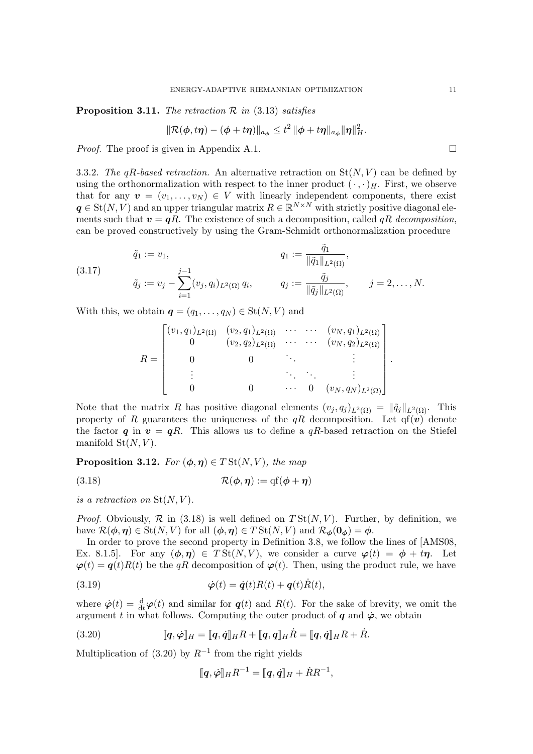<span id="page-10-4"></span>**Proposition 3.11.** The retraction  $\mathcal{R}$  in [\(3.13\)](#page-8-4) satisfies

$$
\|\mathcal{R}(\boldsymbol{\phi},t\boldsymbol{\eta})-(\boldsymbol{\phi}+t\boldsymbol{\eta})\|_{a_{\boldsymbol{\phi}}}\leq t^2\|\boldsymbol{\phi}+t\boldsymbol{\eta}\|_{a_{\boldsymbol{\phi}}}\|\boldsymbol{\eta}\|_{H}^2.
$$

*Proof.* The proof is given in Appendix [A.1.](#page-23-2)  $\Box$ 

<span id="page-10-5"></span>3.3.2. The qR-based retraction. An alternative retraction on  $St(N, V)$  can be defined by using the orthonormalization with respect to the inner product  $(\cdot, \cdot)_H$ . First, we observe that for any  $\mathbf{v} = (v_1, \ldots, v_N) \in V$  with linearly independent components, there exist  $q \in St(N, V)$  and an upper triangular matrix  $R \in \mathbb{R}^{N \times N}$  with strictly positive diagonal elements such that  $v = qR$ . The existence of such a decomposition, called qR decomposition, can be proved constructively by using the Gram-Schmidt orthonormalization procedure

<span id="page-10-3"></span>(3.17) 
$$
\tilde{q}_1 := v_1, \qquad q_1 := \frac{\tilde{q}_1}{\|\tilde{q}_1\|_{L^2(\Omega)}}, \n\tilde{q}_j := v_j - \sum_{i=1}^{j-1} (v_j, q_i)_{L^2(\Omega)} q_i, \qquad q_j := \frac{\tilde{q}_j}{\|\tilde{q}_j\|_{L^2(\Omega)}}, \qquad j = 2, ..., N.
$$

With this, we obtain  $q = (q_1, \ldots, q_N) \in \text{St}(N, V)$  and

$$
R = \begin{bmatrix} (v_1, q_1)_{L^2(\Omega)} & (v_2, q_1)_{L^2(\Omega)} & \cdots & (v_N, q_1)_{L^2(\Omega)} \\ 0 & (v_2, q_2)_{L^2(\Omega)} & \cdots & (v_N, q_2)_{L^2(\Omega)} \\ 0 & 0 & \ddots & \vdots \\ \vdots & \vdots & \ddots & \vdots \\ 0 & 0 & \cdots & 0 & (v_N, q_N)_{L^2(\Omega)} \end{bmatrix}
$$

Note that the matrix R has positive diagonal elements  $(v_j, q_j)_{L^2(\Omega)} = ||\tilde{q}_j||_{L^2(\Omega)}$ . This property of R guarantees the uniqueness of the  $qR$  decomposition. Let  $q(\mathbf{v})$  denote the factor q in  $v = qR$ . This allows us to define a  $qR$ -based retraction on the Stiefel manifold  $St(N, V)$ .

**Proposition 3.12.** For  $(\phi, \eta) \in T\text{St}(N, V)$ , the map

<span id="page-10-0"></span>(3.18) 
$$
\mathcal{R}(\boldsymbol{\phi},\boldsymbol{\eta}) := \mathrm{qf}(\boldsymbol{\phi} + \boldsymbol{\eta})
$$

is a retraction on  $St(N, V)$ .

*Proof.* Obviously,  $\mathcal{R}$  in [\(3.18\)](#page-10-0) is well defined on  $T \text{St}(N, V)$ . Further, by definition, we have  $\mathcal{R}(\phi, \eta) \in \text{St}(N, V)$  for all  $(\phi, \eta) \in T \text{St}(N, V)$  and  $\mathcal{R}_{\phi}(0_{\phi}) = \phi$ .

In order to prove the second property in Definition [3.8,](#page-8-5) we follow the lines of [\[AMS08,](#page-21-3) Ex. 8.1.5]. For any  $(\phi, \eta) \in T\text{St}(N, V)$ , we consider a curve  $\varphi(t) = \phi + t\eta$ . Let  $\varphi(t) = q(t)R(t)$  be the qR decomposition of  $\varphi(t)$ . Then, using the product rule, we have

(3.19) 
$$
\dot{\boldsymbol{\varphi}}(t) = \dot{\boldsymbol{q}}(t)R(t) + \boldsymbol{q}(t)\dot{R}(t),
$$

where  $\dot{\varphi}(t) = \frac{d}{dt}\varphi(t)$  and similar for  $q(t)$  and  $R(t)$ . For the sake of brevity, we omit the argument t in what follows. Computing the outer product of q and  $\dot{\varphi}$ , we obtain

(3.20) 
$$
\llbracket \boldsymbol{q}, \dot{\boldsymbol{\varphi}} \rrbracket_H = \llbracket \boldsymbol{q}, \dot{\boldsymbol{q}} \rrbracket_H R + \llbracket \boldsymbol{q}, \boldsymbol{q} \rrbracket_H \dot{R} = \llbracket \boldsymbol{q}, \dot{\boldsymbol{q}} \rrbracket_H R + \dot{R}.
$$

Multiplication of  $(3.20)$  by  $R^{-1}$  from the right yields

<span id="page-10-2"></span><span id="page-10-1"></span>
$$
[\![\boldsymbol{q},\dot{\boldsymbol{\varphi}}]\!]_H R^{-1} = [\![\boldsymbol{q},\dot{\boldsymbol{q}}]\!]_H + \dot{R}R^{-1},
$$

.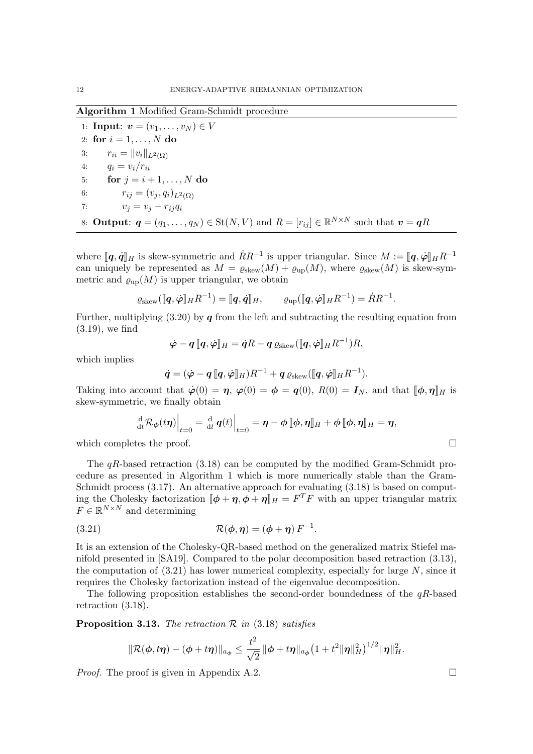<span id="page-11-0"></span>Algorithm 1 Modified Gram-Schmidt procedure

1: **Input:**  $v = (v_1, \ldots, v_N) \in V$ 2: for  $i = 1, \ldots, N$  do 3:  $r_{ii} = ||v_i||_{L^2(\Omega)}$ 4:  $q_i = v_i/r_{ii}$ 5: for  $j = i + 1, \ldots, N$  do 6:  $r_{ij} = (v_j, q_i)_{L^2(\Omega)}$ 7:  $v_j = v_j - r_{ij}q_i$ 8: **Output:**  $q = (q_1, \ldots, q_N) \in \text{St}(N, V)$  and  $R = [r_{ij}] \in \mathbb{R}^{N \times N}$  such that  $v = qR$ 

where  $[\![\boldsymbol{q}, \dot{\boldsymbol{q}}]\!]_H$  is skew-symmetric and  $\dot{R}R^{-1}$  is upper triangular. Since  $M := [\![\boldsymbol{q}, \dot{\boldsymbol{\varphi}}]\!]_H R^{-1}$ <br>can uniquely be represented as  $M = a_1 \cdot (M) + a_2 \cdot (M)$ , where  $a_2 \cdot (M)$  is skew symcan uniquely be represented as  $M = \varrho_{\text{skew}}(M) + \varrho_{\text{up}}(M)$ , where  $\varrho_{\text{skew}}(M)$  is skew-symmetric and  $\varrho_{\text{up}}(M)$  is upper triangular, we obtain

$$
\varrho_{\text{skew}}(\llbracket \boldsymbol{q}, \dot{\boldsymbol{\varphi}} \rrbracket_H R^{-1}) = \llbracket \boldsymbol{q}, \dot{\boldsymbol{q}} \rrbracket_H, \qquad \varrho_{\text{up}}(\llbracket \boldsymbol{q}, \dot{\boldsymbol{\varphi}} \rrbracket_H R^{-1}) = \dot{R} R^{-1}.
$$

Further, multiplying  $(3.20)$  by  $q$  from the left and subtracting the resulting equation from [\(3.19\)](#page-10-2), we find

$$
\dot{\boldsymbol{\varphi}} - \boldsymbol{q} \, [\![\boldsymbol{q}, \dot{\boldsymbol{\varphi}}]\!]_H = \dot{\boldsymbol{q}}R - \boldsymbol{q} \, \varrho_{\mathrm{skew}}([\![\boldsymbol{q}, \dot{\boldsymbol{\varphi}}]\!]_H R^{-1})R,
$$

which implies

$$
\dot{\boldsymbol{q}}=(\dot{\boldsymbol{\varphi}}-\boldsymbol{q}\,\llbracket\boldsymbol{q},\dot{\boldsymbol{\varphi}}\rrbracket_H)R^{-1}+\boldsymbol{q}\,\varrho_\text{skew}(\llbracket\boldsymbol{q},\dot{\boldsymbol{\varphi}}\rrbracket_HR^{-1}).
$$

Taking into account that  $\dot{\varphi}(0) = \eta$ ,  $\varphi(0) = \phi = q(0)$ ,  $R(0) = I_N$ , and that  $[\phi, \eta]_H$  is skew-symmetric, we finally obtain

<span id="page-11-1"></span>
$$
\frac{\mathrm{d}}{\mathrm{d}t}\mathcal{R}_{\phi}(t\boldsymbol{\eta})\Big|_{t=0} = \frac{\mathrm{d}}{\mathrm{d}t} q(t)\Big|_{t=0} = \boldsymbol{\eta} - \phi \, [\![\phi, \boldsymbol{\eta}]\!]_H + \phi \, [\![\phi, \boldsymbol{\eta}]\!]_H = \boldsymbol{\eta},
$$

which completes the proof.  $\Box$ 

The  $qR$ -based retraction [\(3.18\)](#page-10-0) can be computed by the modified Gram-Schmidt procedure as presented in Algorithm [1](#page-11-0) which is more numerically stable than the Gram-Schmidt process [\(3.17\)](#page-10-3). An alternative approach for evaluating [\(3.18\)](#page-10-0) is based on computing the Cholesky factorization  $[\![\phi + \eta, \phi + \eta]\!]_H = F^T F$  with an upper triangular matrix  $F \subset \mathbb{R}^{N \times N}$  and determining  $F \in \mathbb{R}^{N \times N}$  and determining

(3.21) 
$$
\mathcal{R}(\phi, \eta) = (\phi + \eta) F^{-1}.
$$

It is an extension of the Cholesky-QR-based method on the generalized matrix Stiefel manifold presented in [\[SA19\]](#page-22-20). Compared to the polar decomposition based retraction [\(3.13\)](#page-8-4), the computation of  $(3.21)$  has lower numerical complexity, especially for large N, since it requires the Cholesky factorization instead of the eigenvalue decomposition.

The following proposition establishes the second-order boundedness of the  $qR$ -based retraction [\(3.18\)](#page-10-0).

<span id="page-11-2"></span>**Proposition 3.13.** The retraction  $\mathcal{R}$  in [\(3.18\)](#page-10-0) satisfies

$$
\|\mathcal{R}(\phi,t\boldsymbol{\eta})-(\phi+t\boldsymbol{\eta})\|_{a_{\phi}}\leq \frac{t^2}{\sqrt{2}}\|\phi+t\boldsymbol{\eta}\|_{a_{\phi}}\big(1+t^2\|\boldsymbol{\eta}\|_H^2\big)^{1/2}\|\boldsymbol{\eta}\|_H^2.
$$

*Proof.* The proof is given in Appendix [A.2.](#page-23-3)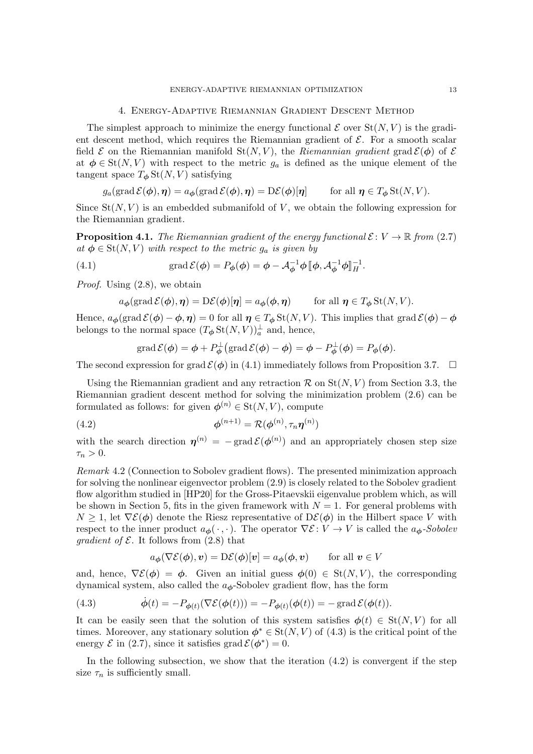#### 4. Energy-Adaptive Riemannian Gradient Descent Method

<span id="page-12-0"></span>The simplest approach to minimize the energy functional  $\mathcal E$  over  $St(N, V)$  is the gradient descent method, which requires the Riemannian gradient of  $\mathcal{E}$ . For a smooth scalar field  $\mathcal E$  on the Riemannian manifold  $St(N, V)$ , the Riemannian gradient grad  $\mathcal E(\phi)$  of  $\mathcal E$ at  $\phi \in St(N, V)$  with respect to the metric  $g_a$  is defined as the unique element of the tangent space  $T_{\phi}$  St(N, V) satisfying

$$
g_a(\operatorname{grad} \mathcal{E}(\boldsymbol{\phi}), \boldsymbol{\eta}) = a_{\boldsymbol{\phi}}(\operatorname{grad} \mathcal{E}(\boldsymbol{\phi}), \boldsymbol{\eta}) = \mathrm{D}\mathcal{E}(\boldsymbol{\phi})[\boldsymbol{\eta}] \qquad \text{ for all } \boldsymbol{\eta} \in T_{\boldsymbol{\phi}}\operatorname{St}(N, V).
$$

Since  $St(N, V)$  is an embedded submanifold of V, we obtain the following expression for the Riemannian gradient.

**Proposition 4.1.** The Riemannian gradient of the energy functional  $\mathcal{E}: V \to \mathbb{R}$  from [\(2.7\)](#page-3-1) at  $\phi \in \text{St}(N, V)$  with respect to the metric  $g_a$  is given by

(4.1) 
$$
\operatorname{grad} \mathcal{E}(\phi) = P_{\phi}(\phi) = \phi - \mathcal{A}_{\phi}^{-1} \phi \, [\phi, \mathcal{A}_{\phi}^{-1} \phi]_{H}^{-1}.
$$

Proof. Using [\(2.8\)](#page-4-2), we obtain

<span id="page-12-1"></span>
$$
a_{\boldsymbol{\phi}}(\operatorname{grad} \mathcal{E}(\boldsymbol{\phi}), \boldsymbol{\eta}) = \mathrm{D}\mathcal{E}(\boldsymbol{\phi})[\boldsymbol{\eta}] = a_{\boldsymbol{\phi}}(\boldsymbol{\phi}, \boldsymbol{\eta}) \qquad \text{for all } \boldsymbol{\eta} \in T_{\boldsymbol{\phi}}\operatorname{St}(N, V).
$$

Hence,  $a_{\phi}(\text{grad }\mathcal{E}(\phi) - \phi, \eta) = 0$  for all  $\eta \in T_{\phi} \text{St}(N, V)$ . This implies that  $\text{grad }\mathcal{E}(\phi) - \phi$ belongs to the normal space  $(T_{\phi} \operatorname{St}(N,V))^\perp_a$  and, hence,

<span id="page-12-3"></span>
$$
\operatorname{grad} \mathcal{E}(\boldsymbol{\phi}) = \boldsymbol{\phi} + P_{\boldsymbol{\phi}}^{\perp}(\operatorname{grad} \mathcal{E}(\boldsymbol{\phi}) - \boldsymbol{\phi}) = \boldsymbol{\phi} - P_{\boldsymbol{\phi}}^{\perp}(\boldsymbol{\phi}) = P_{\boldsymbol{\phi}}(\boldsymbol{\phi}).
$$

The second expression for grad  $\mathcal{E}(\phi)$  in [\(4.1\)](#page-12-1) immediately follows from Proposition [3.7.](#page-7-4)  $\Box$ 

Using the Riemannian gradient and any retraction  $\mathcal{R}$  on  $St(N, V)$  from Section [3.3,](#page-8-6) the Riemannian gradient descent method for solving the minimization problem [\(2.6\)](#page-3-2) can be formulated as follows: for given  $\boldsymbol{\phi}^{(n)} \in \mathrm{St}(N, V)$ , compute

(4.2) 
$$
\boldsymbol{\phi}^{(n+1)} = \mathcal{R}(\boldsymbol{\phi}^{(n)}, \tau_n \boldsymbol{\eta}^{(n)})
$$

with the search direction  $\eta^{(n)} = -\text{grad }\mathcal{E}(\phi^{(n)})$  and an appropriately chosen step size  $\tau_n > 0$ .

Remark 4.2 (Connection to Sobolev gradient flows). The presented minimization approach for solving the nonlinear eigenvector problem [\(2.9\)](#page-4-3) is closely related to the Sobolev gradient flow algorithm studied in [\[HP20\]](#page-22-11) for the Gross-Pitaevskii eigenvalue problem which, as will be shown in Section [5,](#page-16-0) fits in the given framework with  $N = 1$ . For general problems with  $N \geq 1$ , let  $\nabla \mathcal{E}(\phi)$  denote the Riesz representative of  $D\mathcal{E}(\phi)$  in the Hilbert space V with respect to the inner product  $a_{\phi}(\cdot, \cdot)$ . The operator  $\nabla \mathcal{E} : V \to V$  is called the  $a_{\phi}$ -Sobolev *gradient of*  $\mathcal{E}$ *.* It follows from [\(2.8\)](#page-4-2) that

$$
a_{\boldsymbol{\phi}}(\nabla \mathcal{E}(\boldsymbol{\phi}), \boldsymbol{v}) = \mathcal{D}\mathcal{E}(\boldsymbol{\phi})[\boldsymbol{v}] = a_{\boldsymbol{\phi}}(\boldsymbol{\phi}, \boldsymbol{v}) \qquad \text{for all } \boldsymbol{v} \in V
$$

and, hence,  $\nabla \mathcal{E}(\phi) = \phi$ . Given an initial guess  $\phi(0) \in St(N, V)$ , the corresponding dynamical system, also called the  $a_{\phi}$ -Sobolev gradient flow, has the form

<span id="page-12-2"></span>(4.3) 
$$
\dot{\phi}(t) = -P_{\phi(t)}(\nabla \mathcal{E}(\phi(t))) = -P_{\phi(t)}(\phi(t)) = -\operatorname{grad} \mathcal{E}(\phi(t)).
$$

It can be easily seen that the solution of this system satisfies  $\phi(t) \in St(N, V)$  for all times. Moreover, any stationary solution  $\phi^* \in \text{St}(N, V)$  of  $(4.3)$  is the critical point of the energy  $\mathcal E$  in [\(2.7\)](#page-3-1), since it satisfies grad  $\mathcal E(\phi^*)=0$ .

In the following subsection, we show that the iteration  $(4.2)$  is convergent if the step size  $\tau_n$  is sufficiently small.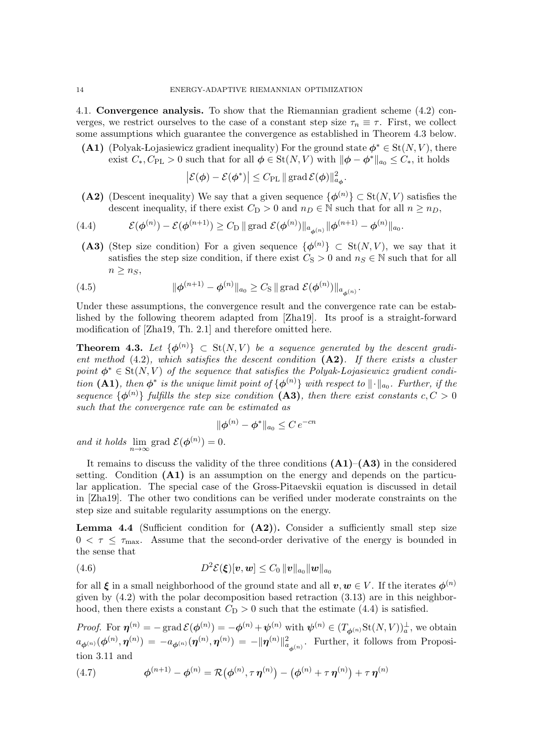4.1. Convergence analysis. To show that the Riemannian gradient scheme [\(4.2\)](#page-12-3) converges, we restrict ourselves to the case of a constant step size  $\tau_n \equiv \tau$ . First, we collect some assumptions which guarantee the convergence as established in Theorem [4.3](#page-13-0) below.

<span id="page-13-2"></span>(A1) (Polyak-Lojasiewicz gradient inequality) For the ground state  $\phi^* \in St(N, V)$ , there exist  $C_*, C_{\text{PL}} > 0$  such that for all  $\phi \in \text{St}(N, V)$  with  $\|\phi - \phi^*\|_{a_0} \leq C_*,$  it holds

$$
\left| \mathcal{E}(\boldsymbol{\phi}) - \mathcal{E}(\boldsymbol{\phi}^*) \right| \leq C_{\mathrm{PL}} \|\mathop{\mathrm{grad}} \mathcal{E}(\boldsymbol{\phi})\|_{a_{\boldsymbol{\phi}}}^2.
$$

<span id="page-13-1"></span>(A2) (Descent inequality) We say that a given sequence  $\{\phi^{(n)}\} \subset St(N, V)$  satisfies the descent inequality, if there exist  $C_D > 0$  and  $n_D \in \mathbb{N}$  such that for all  $n \geq n_D$ ,

<span id="page-13-4"></span>(4.4) 
$$
\mathcal{E}(\phi^{(n)}) - \mathcal{E}(\phi^{(n+1)}) \ge C_{\text{D}} \| \text{grad } \mathcal{E}(\phi^{(n)}) \|_{a_{\phi^{(n)}}} \|\phi^{(n+1)} - \phi^{(n)} \|_{a_0}.
$$

<span id="page-13-3"></span>(A3) (Step size condition) For a given sequence  $\{\phi^{(n)}\}\subset \text{St}(N, V)$ , we say that it satisfies the step size condition, if there exist  $C_S > 0$  and  $n_S \in \mathbb{N}$  such that for all  $n \geq n_S$ 

<span id="page-13-6"></span>(4.5) 
$$
\|\phi^{(n+1)} - \phi^{(n)}\|_{a_0} \ge C_S \|\text{grad } \mathcal{E}(\phi^{(n)})\|_{a_{\phi^{(n)}}}.
$$

Under these assumptions, the convergence result and the convergence rate can be established by the following theorem adapted from [\[Zha19\]](#page-23-0). Its proof is a straight-forward modification of [\[Zha19,](#page-23-0) Th. 2.1] and therefore omitted here.

<span id="page-13-0"></span>**Theorem 4.3.** Let  $\{\phi^{(n)}\}\subset \text{St}(N, V)$  be a sequence generated by the descent gradient method  $(4.2)$ , which satisfies the descent condition  $(A2)$ . If there exists a cluster point  $\phi^* \in \text{St}(N, V)$  of the sequence that satisfies the Polyak-Lojasiewicz gradient condi-tion [\(A1\)](#page-13-2), then  $\phi^*$  is the unique limit point of  $\{\phi^{(n)}\}$  with respect to  $\lVert \cdot \rVert_{a_0}$ . Further, if the sequence  $\{\phi^{(n)}\}\)$  fulfills the step size condition [\(A3\)](#page-13-3), then there exist constants  $c, C > 0$ such that the convergence rate can be estimated as

$$
\|\boldsymbol{\phi}^{(n)} - \boldsymbol{\phi}^*\|_{a_0} \leq C \, e^{-cn}
$$

and it holds  $\lim_{n\to\infty}$  grad  $\mathcal{E}(\boldsymbol{\phi}^{(n)})=0$ .

It remains to discuss the validity of the three conditions  $(A1)$ – $(A3)$  in the considered setting. Condition [\(A1\)](#page-13-2) is an assumption on the energy and depends on the particular application. The special case of the Gross-Pitaevskii equation is discussed in detail in [\[Zha19\]](#page-23-0). The other two conditions can be verified under moderate constraints on the step size and suitable regularity assumptions on the energy.

<span id="page-13-8"></span>**Lemma 4.4** (Sufficient condition for  $(A2)$ ). Consider a sufficiently small step size  $0 < \tau \leq \tau_{\text{max}}$ . Assume that the second-order derivative of the energy is bounded in the sense that

<span id="page-13-5"></span>
$$
(4.6) \tD^2 \mathcal{E}(\boldsymbol{\xi})[\boldsymbol{v},\boldsymbol{w}] \leq C_0 ||\boldsymbol{v}||_{a_0} ||\boldsymbol{w}||_{a_0}
$$

for all  $\xi$  in a small neighborhood of the ground state and all  $v, w \in V$ . If the iterates  $\phi^{(n)}$ given by  $(4.2)$  with the polar decomposition based retraction  $(3.13)$  are in this neighborhood, then there exists a constant  $C_D > 0$  such that the estimate [\(4.4\)](#page-13-4) is satisfied.

Proof. For  $\eta^{(n)} = -\text{grad }\mathcal{E}(\phi^{(n)}) = -\phi^{(n)} + \psi^{(n)}$  with  $\psi^{(n)} \in (T_{\phi^{(n)}}\text{St}(N, V))^\perp_a$ , we obtain  $a_{\boldsymbol{\phi}^{(n)}}(\boldsymbol{\phi}^{(n)},\boldsymbol{\eta}^{(n)})=-a_{\boldsymbol{\phi}^{(n)}}(\boldsymbol{\eta}^{(n)},\boldsymbol{\eta}^{(n)})=-\|\boldsymbol{\eta}^{(n)}\|_{a_{\boldsymbol{\phi}^{(n)}}}^2.$  Further, it follows from Proposition [3.11](#page-10-4) and

<span id="page-13-7"></span>(4.7) 
$$
\phi^{(n+1)} - \phi^{(n)} = \mathcal{R}(\phi^{(n)}, \tau \eta^{(n)}) - (\phi^{(n)} + \tau \eta^{(n)}) + \tau \eta^{(n)}
$$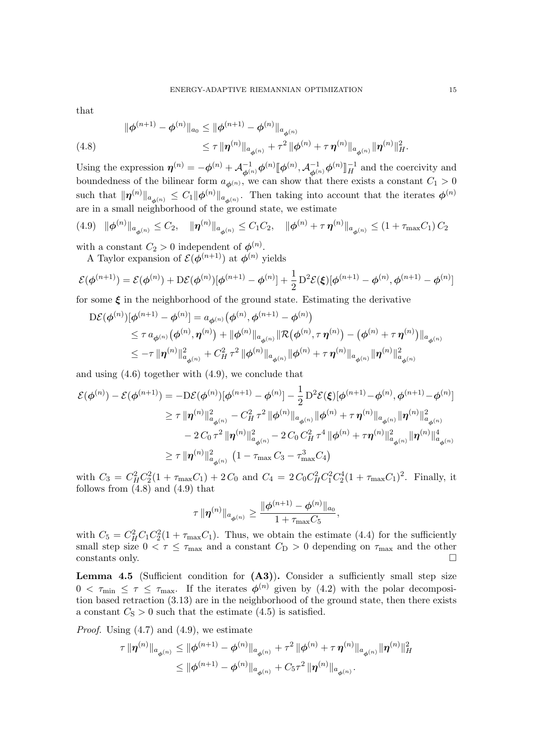that

<span id="page-14-1"></span>(4.8) 
$$
\|\phi^{(n+1)} - \phi^{(n)}\|_{a_0} \le \|\phi^{(n+1)} - \phi^{(n)}\|_{a_{\phi^{(n)}}}
$$

$$
\le \tau \|\boldsymbol{\eta}^{(n)}\|_{a_{\phi^{(n)}}} + \tau^2 \|\phi^{(n)} + \tau \boldsymbol{\eta}^{(n)}\|_{a_{\phi^{(n)}}} \|\boldsymbol{\eta}^{(n)}\|_{H}^{2}.
$$

Using the expression  $\eta^{(n)} = -\phi^{(n)} + \mathcal{A}_{\phi^{(n)}}^{-1} \phi^{(n)} [\phi^{(n)}, \mathcal{A}_{\phi^{(n)}}^{-1} \phi^{(n)}]$ l<br>I  $_H^{-1}$  and the coercivity and boundedness of the bilinear form  $a_{\phi^{(n)}}$ , we can show that there exists a constant  $C_1 > 0$ such that  $\|\eta^{(n)}\|_{a_{\phi^{(n)}}} \leq C_1 \|\phi^{(n)}\|_{a_{\phi^{(n)}}}$ . Then taking into account that the iterates  $\phi^{(n)}$ are in a small neighborhood of the ground state, we estimate

<span id="page-14-0"></span>
$$
(4.9) \|\boldsymbol{\phi}^{(n)}\|_{a_{\boldsymbol{\phi}^{(n)}}} \leq C_2, \quad \|\boldsymbol{\eta}^{(n)}\|_{a_{\boldsymbol{\phi}^{(n)}}} \leq C_1 C_2, \quad \|\boldsymbol{\phi}^{(n)} + \tau \boldsymbol{\eta}^{(n)}\|_{a_{\boldsymbol{\phi}^{(n)}}} \leq (1 + \tau_{\max} C_1) C_2
$$

with a constant  $C_2 > 0$  independent of  $\phi^{(n)}$ .

A Taylor expansion of  $\mathcal{E}(\boldsymbol{\phi}^{(n+1)})$  at  $\boldsymbol{\phi}^{(n)}$  yields

$$
\mathcal{E}(\phi^{(n+1)}) = \mathcal{E}(\phi^{(n)}) + D\mathcal{E}(\phi^{(n)})[\phi^{(n+1)} - \phi^{(n)}] + \frac{1}{2}D^2\mathcal{E}(\xi)[\phi^{(n+1)} - \phi^{(n)}, \phi^{(n+1)} - \phi^{(n)}]
$$

for some  $\xi$  in the neighborhood of the ground state. Estimating the derivative

$$
\begin{split} \mathrm{D}\mathcal{E}(\boldsymbol{\phi}^{(n)})[\boldsymbol{\phi}^{(n+1)}-\boldsymbol{\phi}^{(n)}] &= a_{\boldsymbol{\phi}^{(n)}}\big(\boldsymbol{\phi}^{(n)},\boldsymbol{\phi}^{(n+1)}-\boldsymbol{\phi}^{(n)}\big) \\ &\leq \tau \, a_{\boldsymbol{\phi}^{(n)}}\big(\boldsymbol{\phi}^{(n)},\boldsymbol{\eta}^{(n)}\big) + \|\boldsymbol{\phi}^{(n)}\|_{a_{\boldsymbol{\phi}^{(n)}}} \|\mathcal{R}\big(\boldsymbol{\phi}^{(n)},\tau\,\boldsymbol{\eta}^{(n)}\big) - \big(\boldsymbol{\phi}^{(n)} + \tau\,\boldsymbol{\eta}^{(n)}\big) \|_{a_{\boldsymbol{\phi}^{(n)}}} \\ &\leq -\tau\, \|\boldsymbol{\eta}^{(n)}\|_{a_{\boldsymbol{\phi}^{(n)}}}^2 + C_H^2\,\tau^2\, \|\boldsymbol{\phi}^{(n)}\|_{a_{\boldsymbol{\phi}^{(n)}}} \|\boldsymbol{\phi}^{(n)} + \tau\,\boldsymbol{\eta}^{(n)}\|_{a_{\boldsymbol{\phi}^{(n)}}} \|\boldsymbol{\eta}^{(n)}\|_{a_{\boldsymbol{\phi}^{(n)}}}^2 \end{split}
$$

and using [\(4.6\)](#page-13-5) together with [\(4.9\)](#page-14-0), we conclude that

$$
\mathcal{E}(\phi^{(n)}) - \mathcal{E}(\phi^{(n+1)}) = -D\mathcal{E}(\phi^{(n)})[\phi^{(n+1)} - \phi^{(n)}] - \frac{1}{2}D^2\mathcal{E}(\xi)[\phi^{(n+1)} - \phi^{(n)}, \phi^{(n+1)} - \phi^{(n)}]
$$
  
\n
$$
\geq \tau \|\boldsymbol{\eta}^{(n)}\|_{a_{\phi^{(n)}}}^2 - C_H^2 \tau^2 \|\phi^{(n)}\|_{a_{\phi^{(n)}}} \|\phi^{(n)} + \tau \boldsymbol{\eta}^{(n)}\|_{a_{\phi^{(n)}}} \|\boldsymbol{\eta}^{(n)}\|_{a_{\phi^{(n)}}}^2
$$
  
\n
$$
-2C_0 \tau^2 \|\boldsymbol{\eta}^{(n)}\|_{a_{\phi^{(n)}}}^2 - 2C_0 C_H^2 \tau^4 \|\phi^{(n)} + \tau \boldsymbol{\eta}^{(n)}\|_{a_{\phi^{(n)}}}^2 \|\boldsymbol{\eta}^{(n)}\|_{a_{\phi^{(n)}}}^4
$$
  
\n
$$
\geq \tau \|\boldsymbol{\eta}^{(n)}\|_{a_{\phi^{(n)}}}^2 (1 - \tau_{\text{max}} C_3 - \tau_{\text{max}}^3 C_4)
$$

with  $C_3 = C_H^2 C_2^2 (1 + \tau_{\text{max}} C_1) + 2 C_0$  and  $C_4 = 2 C_0 C_H^2 C_1^2 C_2^4 (1 + \tau_{\text{max}} C_1)^2$ . Finally, it follows from  $(4.8)$  and  $(4.9)$  that

$$
\tau\,\|\boldsymbol{\eta}^{(n)}\|_{a_{\boldsymbol{\phi}^{(n)}}}\geq \frac{\|\boldsymbol{\phi}^{(n+1)}-\boldsymbol{\phi}^{(n)}\|_{a_0}}{1+\tau_{\max}C_5},
$$

with  $C_5 = C_H^2 C_1 C_2^2 (1 + \tau_{\text{max}} C_1)$ . Thus, we obtain the estimate [\(4.4\)](#page-13-4) for the sufficiently small step size  $0 < \tau \leq \tau_{\text{max}}$  and a constant  $C_{\text{D}} > 0$  depending on  $\tau_{\text{max}}$  and the other  $\Box$ constants only.

<span id="page-14-2"></span>Lemma 4.5 (Sufficient condition for  $(A3)$ ). Consider a sufficiently small step size  $0 < \tau_{\min} \leq \tau \leq \tau_{\max}$ . If the iterates  $\phi^{(n)}$  given by [\(4.2\)](#page-12-3) with the polar decomposition based retraction [\(3.13\)](#page-8-4) are in the neighborhood of the ground state, then there exists a constant  $C_{\rm S} > 0$  such that the estimate [\(4.5\)](#page-13-6) is satisfied.

*Proof.* Using  $(4.7)$  and  $(4.9)$ , we estimate

$$
\tau \|\boldsymbol{\eta}^{(n)}\|_{a_{\phi^{(n)}}} \leq \|\phi^{(n+1)} - \phi^{(n)}\|_{a_{\phi^{(n)}}} + \tau^2 \|\phi^{(n)} + \tau \boldsymbol{\eta}^{(n)}\|_{a_{\phi^{(n)}}} \|\boldsymbol{\eta}^{(n)}\|_H^2
$$
  

$$
\leq \|\phi^{(n+1)} - \phi^{(n)}\|_{a_{\phi^{(n)}}} + C_5 \tau^2 \|\boldsymbol{\eta}^{(n)}\|_{a_{\phi^{(n)}}}.
$$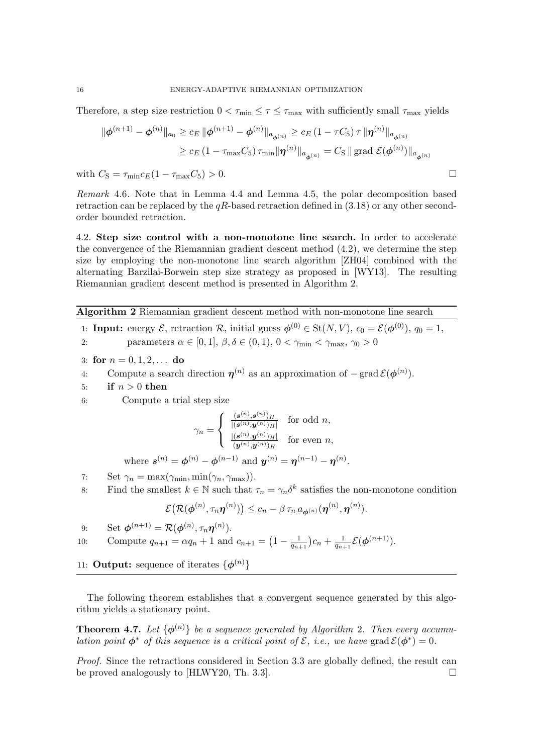Therefore, a step size restriction  $0 < \tau_{\min} \leq \tau \leq \tau_{\max}$  with sufficiently small  $\tau_{\max}$  yields

$$
\|\phi^{(n+1)} - \phi^{(n)}\|_{a_0} \ge c_E \|\phi^{(n+1)} - \phi^{(n)}\|_{a_{\phi^{(n)}}} \ge c_E (1 - \tau C_5) \tau \|\pmb{\eta}^{(n)}\|_{a_{\phi^{(n)}}}
$$
  

$$
\ge c_E (1 - \tau_{\text{max}} C_5) \tau_{\text{min}} \|\pmb{\eta}^{(n)}\|_{a_{\phi^{(n)}}} = C_S \|\text{grad } \mathcal{E}(\phi^{(n)})\|_{a_{\phi^{(n)}}}
$$

with  $C_{\rm S} = \tau_{\rm min} c_E (1 - \tau_{\rm max} C_5) > 0$ .

Remark 4.6. Note that in Lemma [4.4](#page-13-8) and Lemma [4.5,](#page-14-2) the polar decomposition based retraction can be replaced by the  $qR$ -based retraction defined in  $(3.18)$  or any other secondorder bounded retraction.

4.2. Step size control with a non-monotone line search. In order to accelerate the convergence of the Riemannian gradient descent method [\(4.2\)](#page-12-3), we determine the step size by employing the non-monotone line search algorithm [\[ZH04\]](#page-23-1) combined with the alternating Barzilai-Borwein step size strategy as proposed in [\[WY13\]](#page-22-13). The resulting Riemannian gradient descent method is presented in Algorithm [2.](#page-15-0)

<span id="page-15-0"></span>Algorithm 2 Riemannian gradient descent method with non-monotone line search

1: **Input:** energy  $\mathcal{E}$ , retraction  $\mathcal{R}$ , initial guess  $\phi^{(0)} \in \text{St}(N, V)$ ,  $c_0 = \mathcal{E}(\phi^{(0)})$ ,  $q_0 = 1$ , 2: parameters  $\alpha \in [0, 1], \beta, \delta \in (0, 1), 0 < \gamma_{\min} < \gamma_{\max}, \gamma_0 > 0$ 

- 3: for  $n = 0, 1, 2, \ldots$  do
- 4: Compute a search direction  $\eta^{(n)}$  as an approximation of  $-\text{grad }\mathcal{E}(\phi^{(n)})$ .
- 5: if  $n > 0$  then

6: Compute a trial step size

$$
\gamma_n = \begin{cases} \frac{(\mathbf{s}^{(n)}, \mathbf{s}^{(n)})_H}{|(\mathbf{s}^{(n)}, \mathbf{y}^{(n)})_H|} & \text{for odd } n, \\ \frac{[(\mathbf{s}^{(n)}, \mathbf{y}^{(n)})_H]}{(\mathbf{y}^{(n)}, \mathbf{y}^{(n)})_H} & \text{for even } n, \end{cases}
$$

where  $s^{(n)} = \phi^{(n)} - \phi^{(n-1)}$  and  $y^{(n)} = \eta^{(n-1)} - \eta^{(n)}$ .

- 7: Set  $\gamma_n = \max(\gamma_{\min}, \min(\gamma_n, \gamma_{\max})).$
- 8: Find the smallest  $k \in \mathbb{N}$  such that  $\tau_n = \gamma_n \delta^k$  satisfies the non-monotone condition

$$
\mathcal{E}\big(\mathcal{R}(\boldsymbol{\phi}^{(n)}, \tau_n \boldsymbol{\eta}^{(n)})\big) \leq c_n - \beta \, \tau_n \, a_{\boldsymbol{\phi}^{(n)}}(\boldsymbol{\eta}^{(n)}, \boldsymbol{\eta}^{(n)}).
$$

9: Set 
$$
\boldsymbol{\phi}^{(n+1)} = \mathcal{R}(\boldsymbol{\phi}^{(n)}, \tau_n \boldsymbol{\eta}^{(n)}).
$$

10: Compute 
$$
q_{n+1} = \alpha q_n + 1
$$
 and  $c_{n+1} = \left(1 - \frac{1}{q_{n+1}}\right)c_n + \frac{1}{q_{n+1}}\mathcal{E}(\phi^{(n+1)})$ .

11: **Output:** sequence of iterates  $\{\phi^{(n)}\}$ 

The following theorem establishes that a convergent sequence generated by this algorithm yields a stationary point.

**Theorem 4.7.** Let  $\{\phi^{(n)}\}$  be a sequence generated by Algorithm [2](#page-15-0). Then every accumulation point  $\phi^*$  of this sequence is a critical point of  $\mathcal{E}$ , i.e., we have grad  $\mathcal{E}(\phi^*)=0$ .

Proof. Since the retractions considered in Section [3.3](#page-8-6) are globally defined, the result can be proved analogously to  $[HLWY20, Th. 3.3]$ .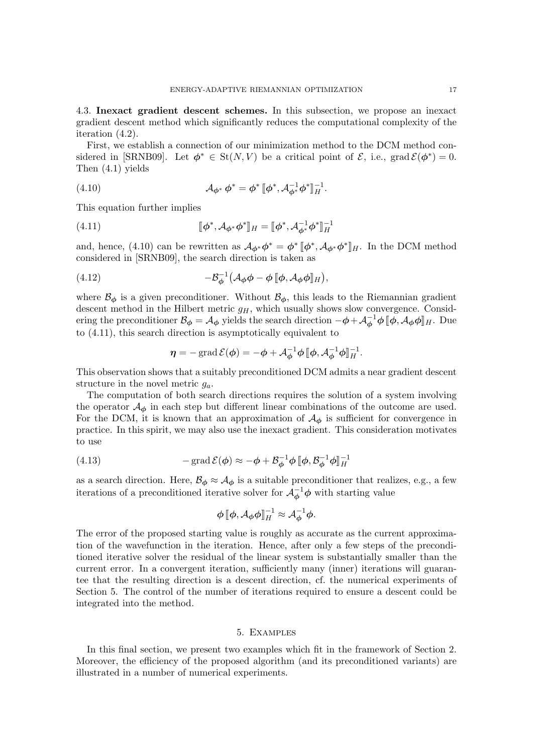4.3. Inexact gradient descent schemes. In this subsection, we propose an inexact gradient descent method which significantly reduces the computational complexity of the iteration [\(4.2\)](#page-12-3).

First, we establish a connection of our minimization method to the DCM method con-sidered in [\[SRNB09\]](#page-22-10). Let  $\phi^* \in St(N, V)$  be a critical point of  $\mathcal{E}$ , i.e., grad  $\mathcal{E}(\phi^*) = 0$ . Then [\(4.1\)](#page-12-1) yields

<span id="page-16-1"></span>(4.10) 
$$
\mathcal{A}_{\phi^*} \phi^* = \phi^* [\phi^*, \mathcal{A}_{\phi^*}^{-1} \phi^*]_H^{-1}.
$$

This equation further implies

<span id="page-16-2"></span>(4.11) 
$$
[\![\phi^*, \mathcal{A}_{\phi^*} \phi^*]\!]_H = [\![\phi^*, \mathcal{A}_{\phi^*}^{-1} \phi^*]\!]_H^{-1}
$$

and, hence, [\(4.10\)](#page-16-1) can be rewritten as  $\mathcal{A}_{\phi^*} \phi^* = \phi^* [\phi^*, \mathcal{A}_{\phi^*} \phi^*]_H$ . In the DCM method considered in [SBNB00], the search direction is taken as considered in [\[SRNB09\]](#page-22-10), the search direction is taken as

<span id="page-16-4"></span>(4.12) 
$$
-\mathcal{B}_{\phi}^{-1}\left(\mathcal{A}_{\phi}\phi-\phi\left[\phi,\mathcal{A}_{\phi}\phi\right]_{H}\right),
$$

where  $\mathcal{B}_{\phi}$  is a given preconditioner. Without  $\mathcal{B}_{\phi}$ , this leads to the Riemannian gradient descent method in the Hilbert metric  $g_H$ , which usually shows slow convergence. Considering the preconditioner  $\mathcal{B}_{\phi} = \mathcal{A}_{\phi}$  yields the search direction  $-\phi + \mathcal{A}_{\phi}^{-1} \phi \, [\phi, \mathcal{A}_{\phi} \phi]_H$ . Due to [\(4.11\)](#page-16-2), this search direction is asymptotically equivalent to

$$
\boldsymbol{\eta} = -\operatorname{grad} \mathcal{E}(\boldsymbol{\phi}) = -\boldsymbol{\phi} + \mathcal{A}_{\boldsymbol{\phi}}^{-1} \boldsymbol{\phi} \, [\![\boldsymbol{\phi}, \mathcal{A}_{\boldsymbol{\phi}}^{-1} \boldsymbol{\phi}]\!]_H^{-1}.
$$

This observation shows that a suitably preconditioned DCM admits a near gradient descent structure in the novel metric  $g_a$ .

The computation of both search directions requires the solution of a system involving the operator  $\mathcal{A}_{\phi}$  in each step but different linear combinations of the outcome are used. For the DCM, it is known that an approximation of  $\mathcal{A}_{\phi}$  is sufficient for convergence in practice. In this spirit, we may also use the inexact gradient. This consideration motivates to use

<span id="page-16-3"></span>(4.13) 
$$
-\operatorname{grad} \mathcal{E}(\phi) \approx -\phi + \mathcal{B}_{\phi}^{-1} \phi \, [\phi, \mathcal{B}_{\phi}^{-1} \phi]_{H}^{-1}
$$

as a search direction. Here,  $\mathcal{B}_{\phi} \approx \mathcal{A}_{\phi}$  is a suitable preconditioner that realizes, e.g., a few iterations of a preconditioned iterative solver for  $\mathcal{A}_{\phi}^{-1}\phi$  with starting value

$$
\phi \, [\![\phi, A_{\phi} \phi]\!]^{-1}_{H} \approx A_{\phi}^{-1} \phi.
$$

The error of the proposed starting value is roughly as accurate as the current approximation of the wavefunction in the iteration. Hence, after only a few steps of the preconditioned iterative solver the residual of the linear system is substantially smaller than the current error. In a convergent iteration, sufficiently many (inner) iterations will guarantee that the resulting direction is a descent direction, cf. the numerical experiments of Section [5.](#page-16-0) The control of the number of iterations required to ensure a descent could be integrated into the method.

# 5. Examples

<span id="page-16-0"></span>In this final section, we present two examples which fit in the framework of Section [2.](#page-1-0) Moreover, the efficiency of the proposed algorithm (and its preconditioned variants) are illustrated in a number of numerical experiments.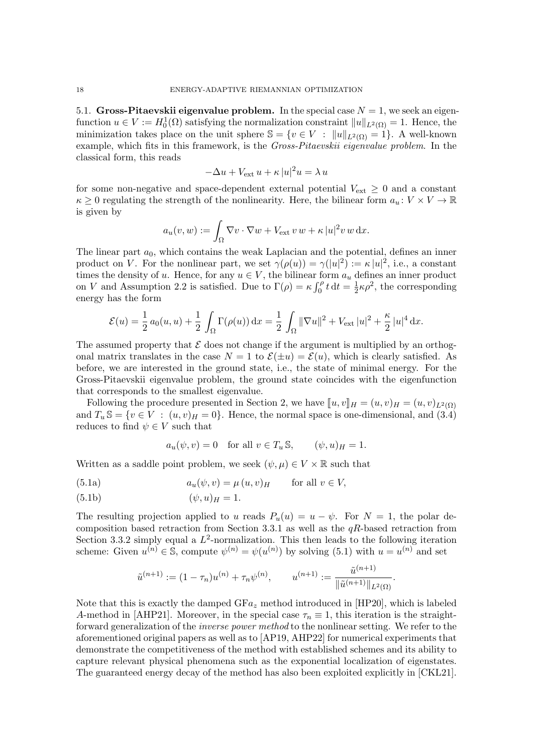5.1. Gross-Pitaevskii eigenvalue problem. In the special case  $N = 1$ , we seek an eigenfunction  $u \in V := H_0^1(\Omega)$  satisfying the normalization constraint  $||u||_{L^2(\Omega)} = 1$ . Hence, the minimization takes place on the unit sphere  $\mathbb{S} = \{v \in V : ||u||_{L^2(\Omega)} = 1\}$ . A well-known example, which fits in this framework, is the *Gross-Pitaevskii eigenvalue problem*. In the classical form, this reads

$$
-\Delta u + V_{\text{ext}} u + \kappa |u|^2 u = \lambda u
$$

for some non-negative and space-dependent external potential  $V_{\text{ext}} \geq 0$  and a constant  $\kappa \geq 0$  regulating the strength of the nonlinearity. Here, the bilinear form  $a_u : V \times V \to \mathbb{R}$ is given by

$$
a_u(v, w) := \int_{\Omega} \nabla v \cdot \nabla w + V_{\text{ext}} v w + \kappa |u|^2 v w dx.
$$

The linear part  $a_0$ , which contains the weak Laplacian and the potential, defines an inner product on V. For the nonlinear part, we set  $\gamma(\rho(u)) = \gamma(|u|^2) := \kappa |u|^2$ , i.e., a constant times the density of u. Hence, for any  $u \in V$ , the bilinear form  $a_u$  defines an inner product on V and Assumption [2.2](#page-2-3) is satisfied. Due to  $\Gamma(\rho) = \kappa \int_0^{\rho} t \, dt = \frac{1}{2}$  $\frac{1}{2}\kappa \rho^2$ , the corresponding energy has the form

$$
\mathcal{E}(u) = \frac{1}{2} a_0(u, u) + \frac{1}{2} \int_{\Omega} \Gamma(\rho(u)) \, dx = \frac{1}{2} \int_{\Omega} ||\nabla u||^2 + V_{\text{ext}} |u|^2 + \frac{\kappa}{2} |u|^4 \, dx.
$$

The assumed property that  $\mathcal E$  does not change if the argument is multiplied by an orthogonal matrix translates in the case  $N = 1$  to  $\mathcal{E}(\pm u) = \mathcal{E}(u)$ , which is clearly satisfied. As before, we are interested in the ground state, i.e., the state of minimal energy. For the Gross-Pitaevskii eigenvalue problem, the ground state coincides with the eigenfunction that corresponds to the smallest eigenvalue.

Following the procedure presented in Section [2,](#page-1-0) we have  $[u, v]_H = (u, v)_H = (u, v)_{L^2(\Omega)}$ and  $T_u \mathbb{S} = \{v \in V : (u, v)_H = 0\}$ . Hence, the normal space is one-dimensional, and [\(3.4\)](#page-5-1) reduces to find  $\psi \in V$  such that

<span id="page-17-0"></span>
$$
a_u(\psi, v) = 0 \quad \text{for all } v \in T_u \mathbb{S}, \qquad (\psi, u)_H = 1.
$$

Written as a saddle point problem, we seek  $(\psi, \mu) \in V \times \mathbb{R}$  such that

(5.1a) 
$$
a_u(\psi, v) = \mu(u, v)_H \quad \text{for all } v \in V,
$$

$$
(5.1b)\qquad \qquad (\psi, u)_H = 1.
$$

The resulting projection applied to u reads  $P_u(u) = u - \psi$ . For  $N = 1$ , the polar de-composition based retraction from Section [3.3.1](#page-8-7) as well as the  $qR$ -based retraction from Section [3.3.2](#page-10-5) simply equal a  $L^2$ -normalization. This then leads to the following iteration scheme: Given  $u^{(n)} \in \mathbb{S}$ , compute  $\psi^{(n)} = \psi(u^{(n)})$  by solving [\(5.1\)](#page-17-0) with  $u = u^{(n)}$  and set

$$
\tilde{u}^{(n+1)} := (1 - \tau_n)u^{(n)} + \tau_n \psi^{(n)}, \qquad u^{(n+1)} := \frac{\tilde{u}^{(n+1)}}{\|\tilde{u}^{(n+1)}\|_{L^2(\Omega)}}.
$$

Note that this is exactly the damped  $GFa_z$  method introduced in [\[HP20\]](#page-22-11), which is labeled A-method in [\[AHP21\]](#page-21-6). Moreover, in the special case  $\tau_n \equiv 1$ , this iteration is the straightforward generalization of the *inverse power method* to the nonlinear setting. We refer to the aforementioned original papers as well as to [\[AP19,](#page-21-7) [AHP22\]](#page-21-8) for numerical experiments that demonstrate the competitiveness of the method with established schemes and its ability to capture relevant physical phenomena such as the exponential localization of eigenstates. The guaranteed energy decay of the method has also been exploited explicitly in [\[CKL21\]](#page-22-7).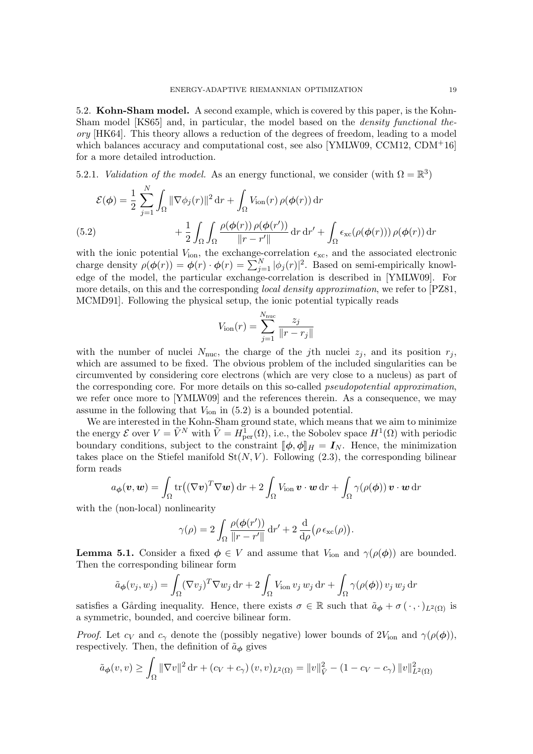5.2. Kohn-Sham model. A second example, which is covered by this paper, is the Kohn-Sham model [\[KS65\]](#page-22-1) and, in particular, the model based on the density functional theory [\[HK64\]](#page-22-0). This theory allows a reduction of the degrees of freedom, leading to a model which balances accuracy and computational cost, see also [\[YMLW09,](#page-22-3) [CCM12,](#page-21-9) [CDM](#page-22-23)<sup>+1</sup>6] for a more detailed introduction.

5.2.1. *Validation of the model*. As an energy functional, we consider (with  $\Omega = \mathbb{R}^3$ )

$$
\mathcal{E}(\phi) = \frac{1}{2} \sum_{j=1}^{N} \int_{\Omega} \|\nabla \phi_j(r)\|^2 dr + \int_{\Omega} V_{\text{ion}}(r) \rho(\phi(r)) dr
$$
  
(5.2) 
$$
+ \frac{1}{2} \int_{\Omega} \int_{\Omega} \frac{\rho(\phi(r)) \rho(\phi(r'))}{\|r - r'\|} dr dr' + \int_{\Omega} \epsilon_{\text{xc}}(\rho(\phi(r))) \rho(\phi(r)) dr
$$

<span id="page-18-0"></span>with the ionic potential  $V_{\text{ion}}$ , the exchange-correlation  $\epsilon_{\text{xc}}$ , and the associated electronic charge density  $\rho(\phi(r)) = \phi(r) \cdot \phi(r) = \sum_{j=1}^{N} |\phi_j(r)|^2$ . Based on semi-empirically knowledge of the model, the particular exchange-correlation is described in [\[YMLW09\]](#page-22-3). For more details, on this and the corresponding *local density approximation*, we refer to [\[PZ81,](#page-22-24) [MCMD91\]](#page-22-25). Following the physical setup, the ionic potential typically reads

$$
V_{\text{ion}}(r) = \sum_{j=1}^{N_{\text{nuc}}} \frac{z_j}{\|r - r_j\|}
$$

with the number of nuclei  $N_{\text{nuc}}$ , the charge of the *j*th nuclei  $z_j$ , and its position  $r_j$ , which are assumed to be fixed. The obvious problem of the included singularities can be circumvented by considering core electrons (which are very close to a nucleus) as part of the corresponding core. For more details on this so-called *pseudopotential approximation*, we refer once more to [\[YMLW09\]](#page-22-3) and the references therein. As a consequence, we may assume in the following that  $V_{\text{ion}}$  in  $(5.2)$  is a bounded potential.

We are interested in the Kohn-Sham ground state, which means that we aim to minimize the energy  $\mathcal E$  over  $V = \tilde{V}^N$  with  $\tilde{V} = H^1_{\text{per}}(\Omega)$ , i.e., the Sobolev space  $H^1(\Omega)$  with periodic boundary conditions, subject to the constraint  $[\![\phi, \phi]\!]_H = I_N$ . Hence, the minimization takes place on the Stiefel manifold  $St(N, V)$ . Following [\(2.3\)](#page-2-2), the corresponding bilinear form reads

$$
a_{\boldsymbol{\phi}}(\boldsymbol{v}, \boldsymbol{w}) = \int_{\Omega} tr((\nabla \boldsymbol{v})^T \nabla \boldsymbol{w}) dr + 2 \int_{\Omega} V_{\text{ion}} \boldsymbol{v} \cdot \boldsymbol{w} dr + \int_{\Omega} \gamma(\rho(\boldsymbol{\phi})) \boldsymbol{v} \cdot \boldsymbol{w} dr
$$

with the (non-local) nonlinearity

$$
\gamma(\rho) = 2 \int_{\Omega} \frac{\rho(\phi(r'))}{\|r - r'\|} dr' + 2 \frac{d}{d\rho} (\rho \epsilon_{\rm xc}(\rho)).
$$

<span id="page-18-1"></span>**Lemma 5.1.** Consider a fixed  $\phi \in V$  and assume that  $V_{\text{ion}}$  and  $\gamma(\rho(\phi))$  are bounded. Then the corresponding bilinear form

$$
\tilde{a}_{\phi}(v_j, w_j) = \int_{\Omega} (\nabla v_j)^T \nabla w_j \, dr + 2 \int_{\Omega} V_{\text{ion}} v_j w_j \, dr + \int_{\Omega} \gamma(\rho(\phi)) v_j w_j \, dr
$$

satisfies a Gårding inequality. Hence, there exists  $\sigma \in \mathbb{R}$  such that  $\tilde{a}_{\phi} + \sigma(\cdot, \cdot)_{L^2(\Omega)}$  is a symmetric, bounded, and coercive bilinear form.

*Proof.* Let  $c_V$  and  $c_\gamma$  denote the (possibly negative) lower bounds of  $2V_{\text{ion}}$  and  $\gamma(\rho(\phi))$ , respectively. Then, the definition of  $\tilde{a}_{\phi}$  gives

$$
\tilde{a}_{\phi}(v,v) \ge \int_{\Omega} \|\nabla v\|^2 \, \mathrm{d}v + (c_V + c_\gamma)(v,v)_{L^2(\Omega)} = \|v\|_{\tilde{V}}^2 - (1 - c_V - c_\gamma) \|v\|_{L^2(\Omega)}^2
$$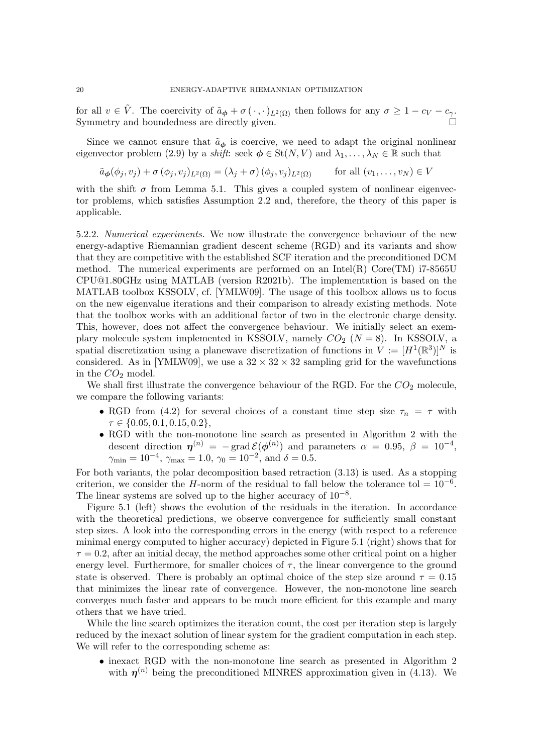for all  $v \in \tilde{V}$ . The coercivity of  $\tilde{a}_{\phi} + \sigma(\cdot, \cdot)_{L^2(\Omega)}$  then follows for any  $\sigma \geq 1 - c_V - c_{\gamma}$ . Symmetry and boundedness are directly given.

Since we cannot ensure that  $\tilde{a}_{\phi}$  is coercive, we need to adapt the original nonlinear eigenvector problem [\(2.9\)](#page-4-3) by a *shift*: seek  $\phi \in \text{St}(N, V)$  and  $\lambda_1, \ldots, \lambda_N \in \mathbb{R}$  such that

$$
\tilde{a}_{\phi}(\phi_j, v_j) + \sigma(\phi_j, v_j)_{L^2(\Omega)} = (\lambda_j + \sigma)(\phi_j, v_j)_{L^2(\Omega)} \quad \text{for all } (v_1, \dots, v_N) \in V
$$

with the shift  $\sigma$  from Lemma [5.1.](#page-18-1) This gives a coupled system of nonlinear eigenvector problems, which satisfies Assumption [2.2](#page-2-3) and, therefore, the theory of this paper is applicable.

5.2.2. Numerical experiments. We now illustrate the convergence behaviour of the new energy-adaptive Riemannian gradient descent scheme (RGD) and its variants and show that they are competitive with the established SCF iteration and the preconditioned DCM method. The numerical experiments are performed on an Intel(R) Core(TM)  $i7-8565$ U CPU@1.80GHz using MATLAB (version R2021b). The implementation is based on the MATLAB toolbox KSSOLV, cf. [\[YMLW09\]](#page-22-3). The usage of this toolbox allows us to focus on the new eigenvalue iterations and their comparison to already existing methods. Note that the toolbox works with an additional factor of two in the electronic charge density. This, however, does not affect the convergence behaviour. We initially select an exemplary molecule system implemented in KSSOLV, namely  $CO<sub>2</sub>$  ( $N = 8$ ). In KSSOLV, a spatial discretization using a planewave discretization of functions in  $V := [H^1(\mathbb{R}^3)]^N$  is considered. As in [\[YMLW09\]](#page-22-3), we use a  $32 \times 32 \times 32$  sampling grid for the wavefunctions in the  $CO<sub>2</sub>$  model.

We shall first illustrate the convergence behaviour of the RGD. For the  $CO<sub>2</sub>$  molecule, we compare the following variants:

- RGD from [\(4.2\)](#page-12-3) for several choices of a constant time step size  $\tau_n = \tau$  with  $\tau \in \{0.05, 0.1, 0.15, 0.2\},\$
- RGD with the non-monotone line search as presented in Algorithm [2](#page-15-0) with the descent direction  $\eta^{(n)} = -\text{grad } \mathcal{E}(\phi^{(n)})$  and parameters  $\alpha = 0.95, \ \beta = 10^{-4},$  $\gamma_{\rm min} = 10^{-4}, \, \gamma_{\rm max} = 1.0, \, \gamma_0 = 10^{-2}, \, \text{and} \, \, \delta = 0.5.$

For both variants, the polar decomposition based retraction [\(3.13\)](#page-8-4) is used. As a stopping criterion, we consider the H-norm of the residual to fall below the tolerance tol =  $10^{-6}$ . The linear systems are solved up to the higher accuracy of  $10^{-8}$ .

Figure [5.1](#page-20-0) (left) shows the evolution of the residuals in the iteration. In accordance with the theoretical predictions, we observe convergence for sufficiently small constant step sizes. A look into the corresponding errors in the energy (with respect to a reference minimal energy computed to higher accuracy) depicted in Figure [5.1](#page-20-0) (right) shows that for  $\tau = 0.2$ , after an initial decay, the method approaches some other critical point on a higher energy level. Furthermore, for smaller choices of  $\tau$ , the linear convergence to the ground state is observed. There is probably an optimal choice of the step size around  $\tau = 0.15$ that minimizes the linear rate of convergence. However, the non-monotone line search converges much faster and appears to be much more efficient for this example and many others that we have tried.

While the line search optimizes the iteration count, the cost per iteration step is largely reduced by the inexact solution of linear system for the gradient computation in each step. We will refer to the corresponding scheme as:

• inexact RGD with the non-monotone line search as presented in Algorithm [2](#page-15-0) with  $\eta^{(n)}$  being the preconditioned MINRES approximation given in [\(4.13\)](#page-16-3). We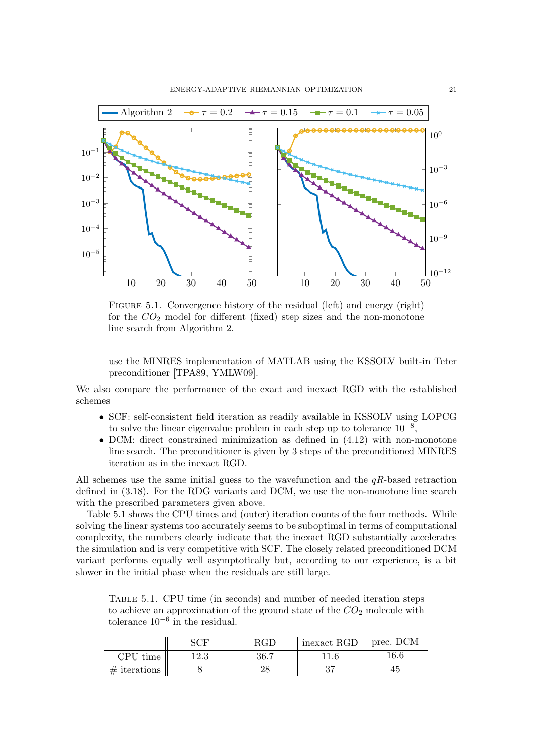

<span id="page-20-0"></span>FIGURE 5.1. Convergence history of the residual (left) and energy (right) for the  $CO<sub>2</sub>$  model for different (fixed) step sizes and the non-monotone line search from Algorithm [2.](#page-15-0)

use the MINRES implementation of MATLAB using the KSSOLV built-in Teter preconditioner [\[TPA89,](#page-22-26) [YMLW09\]](#page-22-3).

We also compare the performance of the exact and inexact RGD with the established schemes

- SCF: self-consistent field iteration as readily available in KSSOLV using LOPCG to solve the linear eigenvalue problem in each step up to tolerance  $10^{-8}$ ,
- DCM: direct constrained minimization as defined in [\(4.12\)](#page-16-4) with non-monotone line search. The preconditioner is given by 3 steps of the preconditioned MINRES iteration as in the inexact RGD.

All schemes use the same initial guess to the wavefunction and the  $qR$ -based retraction defined in [\(3.18\)](#page-10-0). For the RDG variants and DCM, we use the non-monotone line search with the prescribed parameters given above.

Table [5.1](#page-20-1) shows the CPU times and (outer) iteration counts of the four methods. While solving the linear systems too accurately seems to be suboptimal in terms of computational complexity, the numbers clearly indicate that the inexact RGD substantially accelerates the simulation and is very competitive with SCF. The closely related preconditioned DCM variant performs equally well asymptotically but, according to our experience, is a bit slower in the initial phase when the residuals are still large.

<span id="page-20-1"></span>Table 5.1. CPU time (in seconds) and number of needed iteration steps to achieve an approximation of the ground state of the  $CO<sub>2</sub>$  molecule with tolerance  $10^{-6}$  in the residual.

|                     |      | <b>RGD</b> | $\vert$ inexact RGD $\vert$ prec. DCM |      |
|---------------------|------|------------|---------------------------------------|------|
| CPU time            | 12.3 | 36.7       | 11.6                                  | 16.6 |
| $\#$ iterations $ $ |      |            |                                       | 45.  |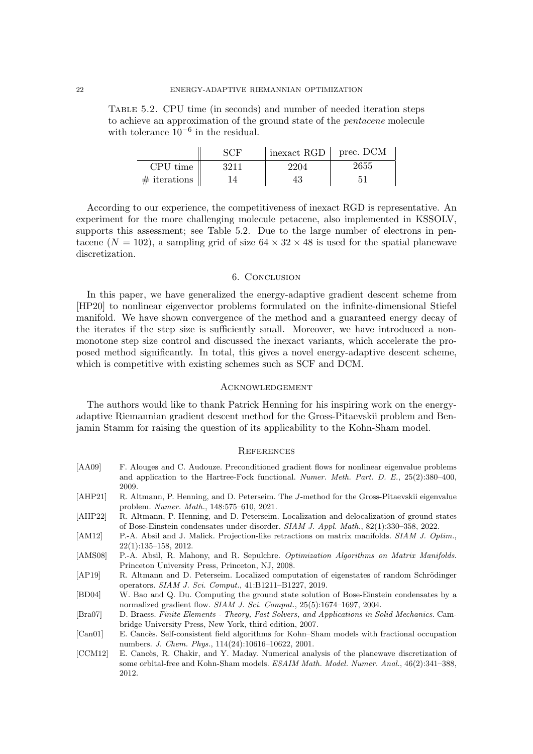Table 5.2. CPU time (in seconds) and number of needed iteration steps to achieve an approximation of the ground state of the pentacene molecule with tolerance  $10^{-6}$  in the residual.

<span id="page-21-10"></span>

|                 | SCF  | inexact RGD | prec. DCM |
|-----------------|------|-------------|-----------|
| CPU time        | 3211 | 2204        | 2655      |
| $\#$ iterations | 14   | 43          | 51        |

According to our experience, the competitiveness of inexact RGD is representative. An experiment for the more challenging molecule petacene, also implemented in KSSOLV, supports this assessment; see Table [5.2.](#page-21-10) Due to the large number of electrons in pentacene ( $N = 102$ ), a sampling grid of size  $64 \times 32 \times 48$  is used for the spatial planewave discretization.

#### 6. Conclusion

In this paper, we have generalized the energy-adaptive gradient descent scheme from [\[HP20\]](#page-22-11) to nonlinear eigenvector problems formulated on the infinite-dimensional Stiefel manifold. We have shown convergence of the method and a guaranteed energy decay of the iterates if the step size is sufficiently small. Moreover, we have introduced a nonmonotone step size control and discussed the inexact variants, which accelerate the proposed method significantly. In total, this gives a novel energy-adaptive descent scheme, which is competitive with existing schemes such as SCF and DCM.

# **ACKNOWLEDGEMENT**

The authors would like to thank Patrick Henning for his inspiring work on the energyadaptive Riemannian gradient descent method for the Gross-Pitaevskii problem and Benjamin Stamm for raising the question of its applicability to the Kohn-Sham model.

#### **REFERENCES**

- <span id="page-21-1"></span>[AA09] F. Alouges and C. Audouze. Preconditioned gradient flows for nonlinear eigenvalue problems and application to the Hartree-Fock functional. Numer. Meth. Part. D. E., 25(2):380–400, 2009.
- <span id="page-21-6"></span>[AHP21] R. Altmann, P. Henning, and D. Peterseim. The J-method for the Gross-Pitaevskii eigenvalue problem. Numer. Math., 148:575–610, 2021.
- <span id="page-21-8"></span>[AHP22] R. Altmann, P. Henning, and D. Peterseim. Localization and delocalization of ground states of Bose-Einstein condensates under disorder. SIAM J. Appl. Math., 82(1):330–358, 2022.
- <span id="page-21-5"></span>[AM12] P.-A. Absil and J. Malick. Projection-like retractions on matrix manifolds. SIAM J. Optim., 22(1):135–158, 2012.
- <span id="page-21-3"></span>[AMS08] P.-A. Absil, R. Mahony, and R. Sepulchre. Optimization Algorithms on Matrix Manifolds. Princeton University Press, Princeton, NJ, 2008.
- <span id="page-21-7"></span>[AP19] R. Altmann and D. Peterseim. Localized computation of eigenstates of random Schrödinger operators. SIAM J. Sci. Comput., 41:B1211–B1227, 2019.
- <span id="page-21-2"></span>[BD04] W. Bao and Q. Du. Computing the ground state solution of Bose-Einstein condensates by a normalized gradient flow. SIAM J. Sci. Comput., 25(5):1674–1697, 2004.
- <span id="page-21-4"></span>[Bra07] D. Braess. Finite Elements - Theory, Fast Solvers, and Applications in Solid Mechanics. Cambridge University Press, New York, third edition, 2007.
- <span id="page-21-0"></span>[Can01] E. Cancès. Self-consistent field algorithms for Kohn–Sham models with fractional occupation numbers. J. Chem. Phys., 114(24):10616–10622, 2001.
- <span id="page-21-9"></span>[CCM12] E. Cancès, R. Chakir, and Y. Maday. Numerical analysis of the planewave discretization of some orbital-free and Kohn-Sham models. ESAIM Math. Model. Numer. Anal., 46(2):341–388, 2012.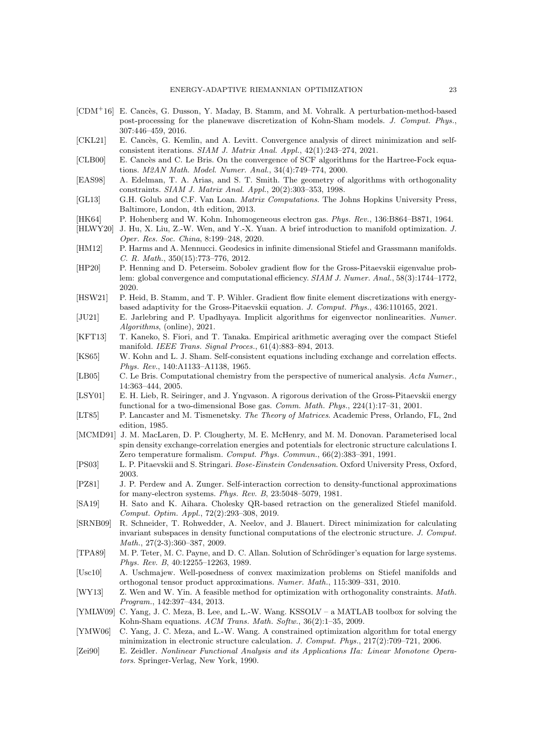- <span id="page-22-23"></span>[CDM<sup>+</sup>16] E. Cancès, G. Dusson, Y. Maday, B. Stamm, and M. Vohralk. A perturbation-method-based post-processing for the planewave discretization of Kohn-Sham models. J. Comput. Phys., 307:446–459, 2016.
- <span id="page-22-7"></span>[CKL21] E. Cancès, G. Kemlin, and A. Levitt. Convergence analysis of direct minimization and selfconsistent iterations. SIAM J. Matrix Anal. Appl., 42(1):243–274, 2021.
- <span id="page-22-6"></span>[CLB00] E. Cancès and C. Le Bris. On the convergence of SCF algorithms for the Hartree-Fock equations. M2AN Math. Model. Numer. Anal., 34(4):749–774, 2000.
- <span id="page-22-17"></span>[EAS98] A. Edelman, T. A. Arias, and S. T. Smith. The geometry of algorithms with orthogonality constraints. SIAM J. Matrix Anal. Appl., 20(2):303–353, 1998.
- <span id="page-22-21"></span>[GL13] G.H. Golub and C.F. Van Loan. *Matrix Computations*. The Johns Hopkins University Press, Baltimore, London, 4th edition, 2013.
- <span id="page-22-0"></span>[HK64] P. Hohenberg and W. Kohn. Inhomogeneous electron gas. Phys. Rev., 136:B864–B871, 1964.
- <span id="page-22-22"></span>[HLWY20] J. Hu, X. Liu, Z.-W. Wen, and Y.-X. Yuan. A brief introduction to manifold optimization. J. Oper. Res. Soc. China, 8:199–248, 2020.
- <span id="page-22-16"></span>[HM12] P. Harms and A. Mennucci. Geodesics in infinite dimensional Stiefel and Grassmann manifolds. C. R. Math., 350(15):773–776, 2012.
- <span id="page-22-11"></span>[HP20] P. Henning and D. Peterseim. Sobolev gradient flow for the Gross-Pitaevskii eigenvalue problem: global convergence and computational efficiency. SIAM J. Numer. Anal., 58(3):1744–1772, 2020.
- <span id="page-22-12"></span>[HSW21] P. Heid, B. Stamm, and T. P. Wihler. Gradient flow finite element discretizations with energybased adaptivity for the Gross-Pitaevskii equation. J. Comput. Phys., 436:110165, 2021.
- <span id="page-22-8"></span>[JU21] E. Jarlebring and P. Upadhyaya. Implicit algorithms for eigenvector nonlinearities. Numer. Algorithms, (online), 2021.
- <span id="page-22-19"></span>[KFT13] T. Kaneko, S. Fiori, and T. Tanaka. Empirical arithmetic averaging over the compact Stiefel manifold. IEEE Trans. Signal Proces., 61(4):883–894, 2013.
- <span id="page-22-1"></span>[KS65] W. Kohn and L. J. Sham. Self-consistent equations including exchange and correlation effects. Phys. Rev., 140:A1133–A1138, 1965.
- <span id="page-22-2"></span>[LB05] C. Le Bris. Computational chemistry from the perspective of numerical analysis. Acta Numer., 14:363–444, 2005.
- <span id="page-22-4"></span>[LSY01] E. H. Lieb, R. Seiringer, and J. Yngvason. A rigorous derivation of the Gross-Pitaevskii energy functional for a two-dimensional Bose gas. Comm. Math. Phys., 224(1):17–31, 2001.
- <span id="page-22-18"></span>[LT85] P. Lancaster and M. Tismenetsky. The Theory of Matrices. Academic Press, Orlando, FL, 2nd edition, 1985.
- <span id="page-22-25"></span>[MCMD91] J. M. MacLaren, D. P. Clougherty, M. E. McHenry, and M. M. Donovan. Parameterised local spin density exchange-correlation energies and potentials for electronic structure calculations I. Zero temperature formalism. Comput. Phys. Commun., 66(2):383–391, 1991.
- <span id="page-22-5"></span>[PS03] L. P. Pitaevskii and S. Stringari. Bose-Einstein Condensation. Oxford University Press, Oxford, 2003.
- <span id="page-22-24"></span>[PZ81] J. P. Perdew and A. Zunger. Self-interaction correction to density-functional approximations for many-electron systems. Phys. Rev. B, 23:5048–5079, 1981.
- <span id="page-22-20"></span>[SA19] H. Sato and K. Aihara. Cholesky QR-based retraction on the generalized Stiefel manifold. Comput. Optim. Appl., 72(2):293–308, 2019.
- <span id="page-22-10"></span>[SRNB09] R. Schneider, T. Rohwedder, A. Neelov, and J. Blauert. Direct minimization for calculating invariant subspaces in density functional computations of the electronic structure. J. Comput. Math., 27(2-3):360–387, 2009.
- <span id="page-22-26"></span>[TPA89] M. P. Teter, M. C. Payne, and D. C. Allan. Solution of Schrödinger's equation for large systems. Phys. Rev. B, 40:12255–12263, 1989.
- <span id="page-22-15"></span>[Usc10] A. Uschmajew. Well-posedness of convex maximization problems on Stiefel manifolds and orthogonal tensor product approximations. Numer. Math., 115:309–331, 2010.
- <span id="page-22-13"></span>[WY13] Z. Wen and W. Yin. A feasible method for optimization with orthogonality constraints. Math. Program., 142:397–434, 2013.
- <span id="page-22-3"></span>[YMLW09] C. Yang, J. C. Meza, B. Lee, and L.-W. Wang. KSSOLV – a MATLAB toolbox for solving the Kohn-Sham equations. ACM Trans. Math. Softw., 36(2):1–35, 2009.
- <span id="page-22-9"></span>[YMW06] C. Yang, J. C. Meza, and L.-W. Wang. A constrained optimization algorithm for total energy minimization in electronic structure calculation. J. Comput. Phys., 217(2):709–721, 2006.
- <span id="page-22-14"></span>[Zei90] E. Zeidler. Nonlinear Functional Analysis and its Applications IIa: Linear Monotone Operators. Springer-Verlag, New York, 1990.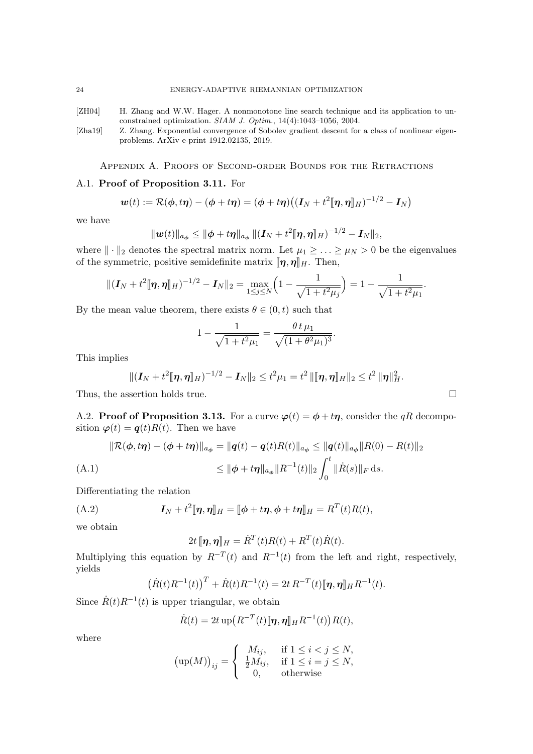<span id="page-23-1"></span>[ZH04] H. Zhang and W.W. Hager. A nonmonotone line search technique and its application to unconstrained optimization. SIAM J. Optim., 14(4):1043–1056, 2004.

<span id="page-23-0"></span>[Zha19] Z. Zhang. Exponential convergence of Sobolev gradient descent for a class of nonlinear eigenproblems. ArXiv e-print 1912.02135, 2019.

Appendix A. Proofs of Second-order Bounds for the Retractions

### <span id="page-23-2"></span>A.1. Proof of Proposition [3.11.](#page-10-4) For

$$
\boldsymbol{w}(t) := \mathcal{R}(\boldsymbol{\phi},t\boldsymbol{\eta}) - (\boldsymbol{\phi}+t\boldsymbol{\eta}) = (\boldsymbol{\phi}+t\boldsymbol{\eta})((\boldsymbol{I}_N+t^2[\![\boldsymbol{\eta},\boldsymbol{\eta}]\!]_H)^{-1/2} - \boldsymbol{I}_N)
$$

we have

$$
\|\boldsymbol{w}(t)\|_{a_{\boldsymbol{\phi}}} \leq \|\boldsymbol{\phi} + t\boldsymbol{\eta}\|_{a_{\boldsymbol{\phi}}}\|(\boldsymbol{I}_N + t^2[\![\boldsymbol{\eta},\boldsymbol{\eta}]\!]_H)^{-1/2} - \boldsymbol{I}_N\|_2,
$$

where  $\|\cdot\|_2$  denotes the spectral matrix norm. Let  $\mu_1 \geq \ldots \geq \mu_N > 0$  be the eigenvalues of the symmetric, positive semidefinite matrix  $[\![\boldsymbol{\eta},\boldsymbol{\eta}]\!]_H$ . Then,

$$
\|(\boldsymbol{I}_N+t^2[\![\boldsymbol{\eta},\boldsymbol{\eta}]\!]_H)^{-1/2}-\boldsymbol{I}_N\|_2=\max_{1\leq j\leq N}\Big(1-\frac{1}{\sqrt{1+t^2\mu_j}}\Big)=1-\frac{1}{\sqrt{1+t^2\mu_1}}.
$$

By the mean value theorem, there exists  $\theta \in (0, t)$  such that

$$
1 - \frac{1}{\sqrt{1 + t^2 \mu_1}} = \frac{\theta t \mu_1}{\sqrt{(1 + \theta^2 \mu_1)^3}}.
$$

This implies

$$
\|(\bm{I}_N+t^2[\![\pmb{\eta},\pmb{\eta}]\!]_H)^{-1/2}-\bm{I}_N\|_2\leq t^2\mu_1=t^2\,\|\[\![\pmb{\eta},\pmb{\eta}]\!]_H\|_2\leq t^2\,\|\pmb{\eta}\|_H^2.
$$

Thus, the assertion holds true.

<span id="page-23-3"></span>A.2. Proof of Proposition [3.13.](#page-11-2) For a curve  $\varphi(t) = \phi + t\eta$ , consider the qR decomposition  $\varphi(t) = q(t)R(t)$ . Then we have

<span id="page-23-5"></span>
$$
\|\mathcal{R}(\phi, t\eta) - (\phi + t\eta)\|_{a_{\phi}} = \|q(t) - q(t)R(t)\|_{a_{\phi}} \le \|q(t)\|_{a_{\phi}} \|R(0) - R(t)\|_{2}
$$
  
(A.1)  

$$
\le \|\phi + t\eta\|_{a_{\phi}} \|R^{-1}(t)\|_{2} \int_{0}^{t} \|\dot{R}(s)\|_{F} ds.
$$

Differentiating the relation

(A.2) 
$$
\mathbf{I}_N + t^2 [\![\boldsymbol{\eta},\boldsymbol{\eta}]\!]_H = [\![\boldsymbol{\phi} + t\boldsymbol{\eta},\boldsymbol{\phi} + t\boldsymbol{\eta}]\!]_H = R^T(t)R(t),
$$

we obtain

<span id="page-23-4"></span> $2t \, [\![\boldsymbol{\eta},\boldsymbol{\eta}]\!]_H = \dot{R}^T(t) R(t) + R^T(t) \dot{R}(t).$ 

Multiplying this equation by  $R^{-T}(t)$  and  $R^{-1}(t)$  from the left and right, respectively, yields

$$
(\dot{R}(t)R^{-1}(t))^{T} + \dot{R}(t)R^{-1}(t) = 2t R^{-T}(t)[\eta, \eta]_{H} R^{-1}(t).
$$

Since  $\dot{R}(t)R^{-1}(t)$  is upper triangular, we obtain

$$
\dot{R}(t) = 2t \operatorname{up} (R^{-T}(t) [\![ \boldsymbol{\eta}, \boldsymbol{\eta} ]\!]_H R^{-1}(t) \big) R(t),
$$

where

$$
\left(\text{up}(M)\right)_{ij} = \begin{cases} M_{ij}, & \text{if } 1 \le i < j \le N, \\ \frac{1}{2}M_{ij}, & \text{if } 1 \le i = j \le N, \\ 0, & \text{otherwise} \end{cases}
$$